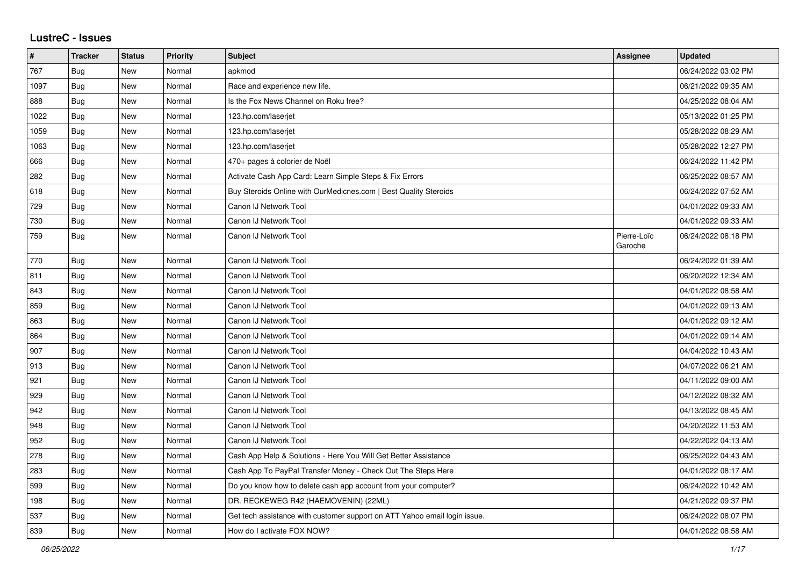## **LustreC - Issues**

| #    | <b>Tracker</b> | <b>Status</b> | <b>Priority</b> | <b>Subject</b>                                                            | Assignee               | <b>Updated</b>      |
|------|----------------|---------------|-----------------|---------------------------------------------------------------------------|------------------------|---------------------|
| 767  | Bug            | <b>New</b>    | Normal          | apkmod                                                                    |                        | 06/24/2022 03:02 PM |
| 1097 | Bug            | <b>New</b>    | Normal          | Race and experience new life.                                             |                        | 06/21/2022 09:35 AM |
| 888  | Bug            | <b>New</b>    | Normal          | Is the Fox News Channel on Roku free?                                     |                        | 04/25/2022 08:04 AM |
| 1022 | <b>Bug</b>     | <b>New</b>    | Normal          | 123.hp.com/laserjet                                                       |                        | 05/13/2022 01:25 PM |
| 1059 | Bug            | <b>New</b>    | Normal          | 123.hp.com/laserjet                                                       |                        | 05/28/2022 08:29 AM |
| 1063 | <b>Bug</b>     | <b>New</b>    | Normal          | 123.hp.com/laserjet                                                       |                        | 05/28/2022 12:27 PM |
| 666  | Bug            | <b>New</b>    | Normal          | 470+ pages à colorier de Noël                                             |                        | 06/24/2022 11:42 PM |
| 282  | Bug            | <b>New</b>    | Normal          | Activate Cash App Card: Learn Simple Steps & Fix Errors                   |                        | 06/25/2022 08:57 AM |
| 618  | Bug            | New           | Normal          | Buy Steroids Online with OurMedicnes.com   Best Quality Steroids          |                        | 06/24/2022 07:52 AM |
| 729  | Bug            | New           | Normal          | Canon IJ Network Tool                                                     |                        | 04/01/2022 09:33 AM |
| 730  | Bug            | New           | Normal          | Canon IJ Network Tool                                                     |                        | 04/01/2022 09:33 AM |
| 759  | Bug            | New           | Normal          | Canon IJ Network Tool                                                     | Pierre-Loïc<br>Garoche | 06/24/2022 08:18 PM |
| 770  | Bug            | <b>New</b>    | Normal          | Canon IJ Network Tool                                                     |                        | 06/24/2022 01:39 AM |
| 811  | Bug            | <b>New</b>    | Normal          | Canon IJ Network Tool                                                     |                        | 06/20/2022 12:34 AM |
| 843  | Bug            | New           | Normal          | Canon IJ Network Tool                                                     |                        | 04/01/2022 08:58 AM |
| 859  | Bug            | New           | Normal          | Canon IJ Network Tool                                                     |                        | 04/01/2022 09:13 AM |
| 863  | <b>Bug</b>     | <b>New</b>    | Normal          | Canon IJ Network Tool                                                     |                        | 04/01/2022 09:12 AM |
| 864  | <b>Bug</b>     | <b>New</b>    | Normal          | Canon IJ Network Tool                                                     |                        | 04/01/2022 09:14 AM |
| 907  | Bug            | <b>New</b>    | Normal          | Canon IJ Network Tool                                                     |                        | 04/04/2022 10:43 AM |
| 913  | <b>Bug</b>     | <b>New</b>    | Normal          | Canon IJ Network Tool                                                     |                        | 04/07/2022 06:21 AM |
| 921  | Bug            | <b>New</b>    | Normal          | Canon IJ Network Tool                                                     |                        | 04/11/2022 09:00 AM |
| 929  | Bug            | <b>New</b>    | Normal          | Canon IJ Network Tool                                                     |                        | 04/12/2022 08:32 AM |
| 942  | Bug            | <b>New</b>    | Normal          | Canon IJ Network Tool                                                     |                        | 04/13/2022 08:45 AM |
| 948  | Bug            | <b>New</b>    | Normal          | Canon IJ Network Tool                                                     |                        | 04/20/2022 11:53 AM |
| 952  | Bug            | <b>New</b>    | Normal          | Canon IJ Network Tool                                                     |                        | 04/22/2022 04:13 AM |
| 278  | Bug            | New           | Normal          | Cash App Help & Solutions - Here You Will Get Better Assistance           |                        | 06/25/2022 04:43 AM |
| 283  | Bug            | <b>New</b>    | Normal          | Cash App To PayPal Transfer Money - Check Out The Steps Here              |                        | 04/01/2022 08:17 AM |
| 599  | Bug            | <b>New</b>    | Normal          | Do you know how to delete cash app account from your computer?            |                        | 06/24/2022 10:42 AM |
| 198  | Bug            | <b>New</b>    | Normal          | DR. RECKEWEG R42 (HAEMOVENIN) (22ML)                                      |                        | 04/21/2022 09:37 PM |
| 537  | Bug            | <b>New</b>    | Normal          | Get tech assistance with customer support on ATT Yahoo email login issue. |                        | 06/24/2022 08:07 PM |
| 839  | Bug            | <b>New</b>    | Normal          | How do I activate FOX NOW?                                                |                        | 04/01/2022 08:58 AM |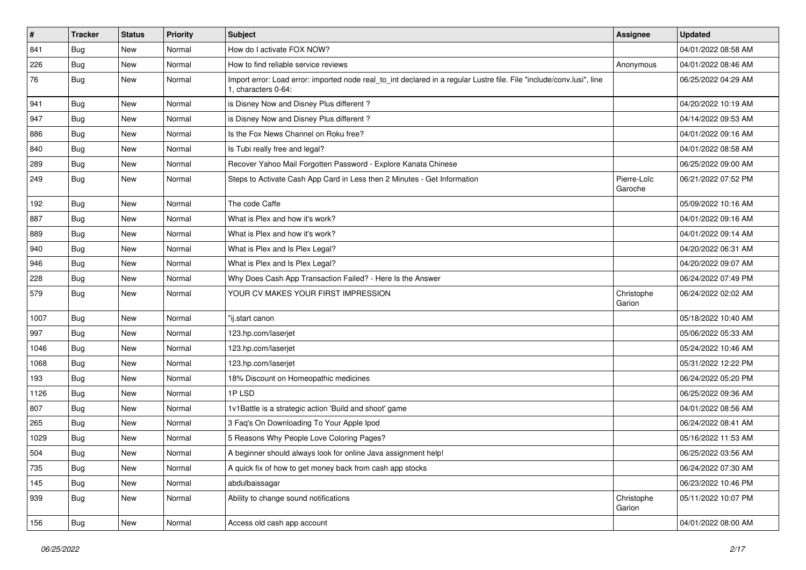| $\sharp$ | <b>Tracker</b> | <b>Status</b> | <b>Priority</b> | <b>Subject</b>                                                                                                                               | Assignee               | <b>Updated</b>      |
|----------|----------------|---------------|-----------------|----------------------------------------------------------------------------------------------------------------------------------------------|------------------------|---------------------|
| 841      | <b>Bug</b>     | New           | Normal          | How do I activate FOX NOW?                                                                                                                   |                        | 04/01/2022 08:58 AM |
| 226      | Bug            | <b>New</b>    | Normal          | How to find reliable service reviews                                                                                                         | Anonymous              | 04/01/2022 08:46 AM |
| 76       | Bug            | New           | Normal          | Import error: Load error: imported node real_to_int declared in a regular Lustre file. File "include/conv.lusi", line<br>1. characters 0-64: |                        | 06/25/2022 04:29 AM |
| 941      | Bug            | <b>New</b>    | Normal          | is Disney Now and Disney Plus different?                                                                                                     |                        | 04/20/2022 10:19 AM |
| 947      | Bug            | <b>New</b>    | Normal          | is Disney Now and Disney Plus different?                                                                                                     |                        | 04/14/2022 09:53 AM |
| 886      | Bug            | <b>New</b>    | Normal          | Is the Fox News Channel on Roku free?                                                                                                        |                        | 04/01/2022 09:16 AM |
| 840      | Bug            | <b>New</b>    | Normal          | Is Tubi really free and legal?                                                                                                               |                        | 04/01/2022 08:58 AM |
| 289      | Bug            | <b>New</b>    | Normal          | Recover Yahoo Mail Forgotten Password - Explore Kanata Chinese                                                                               |                        | 06/25/2022 09:00 AM |
| 249      | Bug            | <b>New</b>    | Normal          | Steps to Activate Cash App Card in Less then 2 Minutes - Get Information                                                                     | Pierre-Loïc<br>Garoche | 06/21/2022 07:52 PM |
| 192      | Bug            | <b>New</b>    | Normal          | The code Caffe                                                                                                                               |                        | 05/09/2022 10:16 AM |
| 887      | Bug            | New           | Normal          | What is Plex and how it's work?                                                                                                              |                        | 04/01/2022 09:16 AM |
| 889      | Bug            | <b>New</b>    | Normal          | What is Plex and how it's work?                                                                                                              |                        | 04/01/2022 09:14 AM |
| 940      | Bug            | <b>New</b>    | Normal          | What is Plex and Is Plex Legal?                                                                                                              |                        | 04/20/2022 06:31 AM |
| 946      | Bug            | <b>New</b>    | Normal          | What is Plex and Is Plex Legal?                                                                                                              |                        | 04/20/2022 09:07 AM |
| 228      | Bug            | New           | Normal          | Why Does Cash App Transaction Failed? - Here Is the Answer                                                                                   |                        | 06/24/2022 07:49 PM |
| 579      | <b>Bug</b>     | New           | Normal          | YOUR CV MAKES YOUR FIRST IMPRESSION                                                                                                          | Christophe<br>Garion   | 06/24/2022 02:02 AM |
| 1007     | Bug            | <b>New</b>    | Normal          | "ij.start canon                                                                                                                              |                        | 05/18/2022 10:40 AM |
| 997      | Bug            | <b>New</b>    | Normal          | 123.hp.com/laserjet                                                                                                                          |                        | 05/06/2022 05:33 AM |
| 1046     | Bug            | <b>New</b>    | Normal          | 123.hp.com/laserjet                                                                                                                          |                        | 05/24/2022 10:46 AM |
| 1068     | Bug            | New           | Normal          | 123.hp.com/laserjet                                                                                                                          |                        | 05/31/2022 12:22 PM |
| 193      | Bug            | <b>New</b>    | Normal          | 18% Discount on Homeopathic medicines                                                                                                        |                        | 06/24/2022 05:20 PM |
| 1126     | Bug            | <b>New</b>    | Normal          | 1PLSD                                                                                                                                        |                        | 06/25/2022 09:36 AM |
| 807      | Bug            | <b>New</b>    | Normal          | 1v1Battle is a strategic action 'Build and shoot' game                                                                                       |                        | 04/01/2022 08:56 AM |
| 265      | Bug            | <b>New</b>    | Normal          | 3 Faq's On Downloading To Your Apple Ipod                                                                                                    |                        | 06/24/2022 08:41 AM |
| 1029     | Bug            | <b>New</b>    | Normal          | 5 Reasons Why People Love Coloring Pages?                                                                                                    |                        | 05/16/2022 11:53 AM |
| 504      | Bug            | New           | Normal          | A beginner should always look for online Java assignment help!                                                                               |                        | 06/25/2022 03:56 AM |
| 735      | Bug            | New           | Normal          | A quick fix of how to get money back from cash app stocks                                                                                    |                        | 06/24/2022 07:30 AM |
| 145      | Bug            | New           | Normal          | abdulbaissagar                                                                                                                               |                        | 06/23/2022 10:46 PM |
| 939      | Bug            | New           | Normal          | Ability to change sound notifications                                                                                                        | Christophe<br>Garion   | 05/11/2022 10:07 PM |
| 156      | <b>Bug</b>     | New           | Normal          | Access old cash app account                                                                                                                  |                        | 04/01/2022 08:00 AM |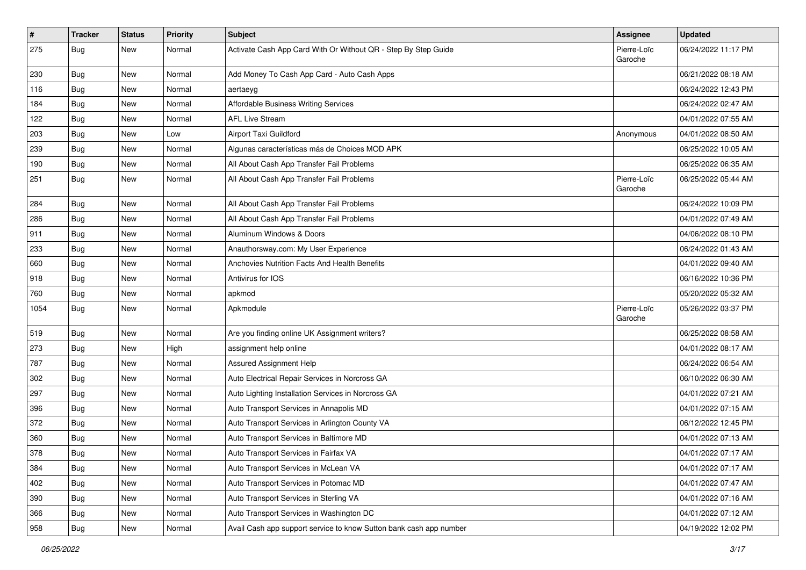| $\vert$ # | <b>Tracker</b> | <b>Status</b> | Priority | Subject                                                            | <b>Assignee</b>        | <b>Updated</b>      |
|-----------|----------------|---------------|----------|--------------------------------------------------------------------|------------------------|---------------------|
| 275       | <b>Bug</b>     | New           | Normal   | Activate Cash App Card With Or Without QR - Step By Step Guide     | Pierre-Loïc<br>Garoche | 06/24/2022 11:17 PM |
| 230       | Bug            | New           | Normal   | Add Money To Cash App Card - Auto Cash Apps                        |                        | 06/21/2022 08:18 AM |
| 116       | Bug            | New           | Normal   | aertaeyg                                                           |                        | 06/24/2022 12:43 PM |
| 184       | Bug            | <b>New</b>    | Normal   | Affordable Business Writing Services                               |                        | 06/24/2022 02:47 AM |
| 122       | Bug            | New           | Normal   | <b>AFL Live Stream</b>                                             |                        | 04/01/2022 07:55 AM |
| 203       | <b>Bug</b>     | New           | Low      | Airport Taxi Guildford                                             | Anonymous              | 04/01/2022 08:50 AM |
| 239       | <b>Bug</b>     | <b>New</b>    | Normal   | Algunas características más de Choices MOD APK                     |                        | 06/25/2022 10:05 AM |
| 190       | <b>Bug</b>     | New           | Normal   | All About Cash App Transfer Fail Problems                          |                        | 06/25/2022 06:35 AM |
| 251       | Bug            | New           | Normal   | All About Cash App Transfer Fail Problems                          | Pierre-Loïc<br>Garoche | 06/25/2022 05:44 AM |
| 284       | <b>Bug</b>     | <b>New</b>    | Normal   | All About Cash App Transfer Fail Problems                          |                        | 06/24/2022 10:09 PM |
| 286       | Bug            | <b>New</b>    | Normal   | All About Cash App Transfer Fail Problems                          |                        | 04/01/2022 07:49 AM |
| 911       | Bug            | New           | Normal   | Aluminum Windows & Doors                                           |                        | 04/06/2022 08:10 PM |
| 233       | <b>Bug</b>     | New           | Normal   | Anauthorsway.com: My User Experience                               |                        | 06/24/2022 01:43 AM |
| 660       | <b>Bug</b>     | <b>New</b>    | Normal   | Anchovies Nutrition Facts And Health Benefits                      |                        | 04/01/2022 09:40 AM |
| 918       | <b>Bug</b>     | New           | Normal   | Antivirus for IOS                                                  |                        | 06/16/2022 10:36 PM |
| 760       | Bug            | <b>New</b>    | Normal   | apkmod                                                             |                        | 05/20/2022 05:32 AM |
| 1054      | Bug            | New           | Normal   | Apkmodule                                                          | Pierre-Loïc<br>Garoche | 05/26/2022 03:37 PM |
| 519       | Bug            | New           | Normal   | Are you finding online UK Assignment writers?                      |                        | 06/25/2022 08:58 AM |
| 273       | Bug            | New           | High     | assignment help online                                             |                        | 04/01/2022 08:17 AM |
| 787       | <b>Bug</b>     | <b>New</b>    | Normal   | Assured Assignment Help                                            |                        | 06/24/2022 06:54 AM |
| 302       | Bug            | New           | Normal   | Auto Electrical Repair Services in Norcross GA                     |                        | 06/10/2022 06:30 AM |
| 297       | Bug            | <b>New</b>    | Normal   | Auto Lighting Installation Services in Norcross GA                 |                        | 04/01/2022 07:21 AM |
| 396       | <b>Bug</b>     | <b>New</b>    | Normal   | Auto Transport Services in Annapolis MD                            |                        | 04/01/2022 07:15 AM |
| 372       | <b>Bug</b>     | New           | Normal   | Auto Transport Services in Arlington County VA                     |                        | 06/12/2022 12:45 PM |
| 360       | <b>Bug</b>     | New           | Normal   | Auto Transport Services in Baltimore MD                            |                        | 04/01/2022 07:13 AM |
| 378       | Bug            | New           | Normal   | Auto Transport Services in Fairfax VA                              |                        | 04/01/2022 07:17 AM |
| 384       | Bug            | New           | Normal   | Auto Transport Services in McLean VA                               |                        | 04/01/2022 07:17 AM |
| 402       | Bug            | New           | Normal   | Auto Transport Services in Potomac MD                              |                        | 04/01/2022 07:47 AM |
| 390       | Bug            | New           | Normal   | Auto Transport Services in Sterling VA                             |                        | 04/01/2022 07:16 AM |
| 366       | Bug            | New           | Normal   | Auto Transport Services in Washington DC                           |                        | 04/01/2022 07:12 AM |
| 958       | <b>Bug</b>     | New           | Normal   | Avail Cash app support service to know Sutton bank cash app number |                        | 04/19/2022 12:02 PM |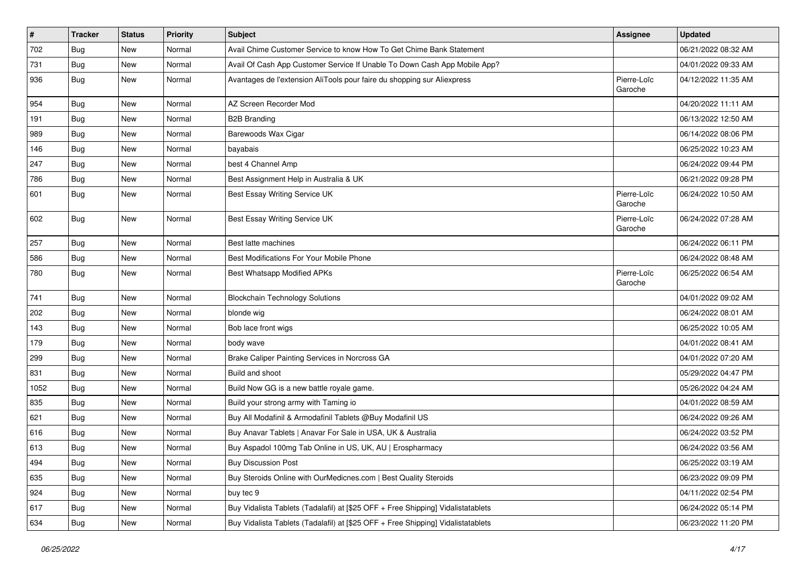| $\vert$ # | <b>Tracker</b> | <b>Status</b> | <b>Priority</b> | Subject                                                                          | <b>Assignee</b>        | <b>Updated</b>      |
|-----------|----------------|---------------|-----------------|----------------------------------------------------------------------------------|------------------------|---------------------|
| 702       | Bug            | New           | Normal          | Avail Chime Customer Service to know How To Get Chime Bank Statement             |                        | 06/21/2022 08:32 AM |
| 731       | Bug            | <b>New</b>    | Normal          | Avail Of Cash App Customer Service If Unable To Down Cash App Mobile App?        |                        | 04/01/2022 09:33 AM |
| 936       | Bug            | <b>New</b>    | Normal          | Avantages de l'extension AliTools pour faire du shopping sur Aliexpress          | Pierre-Loïc<br>Garoche | 04/12/2022 11:35 AM |
| 954       | <b>Bug</b>     | <b>New</b>    | Normal          | AZ Screen Recorder Mod                                                           |                        | 04/20/2022 11:11 AM |
| 191       | Bug            | New           | Normal          | <b>B2B Branding</b>                                                              |                        | 06/13/2022 12:50 AM |
| 989       | Bug            | New           | Normal          | Barewoods Wax Cigar                                                              |                        | 06/14/2022 08:06 PM |
| 146       | Bug            | <b>New</b>    | Normal          | bayabais                                                                         |                        | 06/25/2022 10:23 AM |
| 247       | <b>Bug</b>     | New           | Normal          | best 4 Channel Amp                                                               |                        | 06/24/2022 09:44 PM |
| 786       | Bug            | <b>New</b>    | Normal          | Best Assignment Help in Australia & UK                                           |                        | 06/21/2022 09:28 PM |
| 601       | Bug            | <b>New</b>    | Normal          | Best Essay Writing Service UK                                                    | Pierre-Loïc<br>Garoche | 06/24/2022 10:50 AM |
| 602       | Bug            | <b>New</b>    | Normal          | Best Essay Writing Service UK                                                    | Pierre-Loïc<br>Garoche | 06/24/2022 07:28 AM |
| 257       | Bug            | <b>New</b>    | Normal          | Best latte machines                                                              |                        | 06/24/2022 06:11 PM |
| 586       | Bug            | <b>New</b>    | Normal          | Best Modifications For Your Mobile Phone                                         |                        | 06/24/2022 08:48 AM |
| 780       | Bug            | New           | Normal          | <b>Best Whatsapp Modified APKs</b>                                               | Pierre-Loïc<br>Garoche | 06/25/2022 06:54 AM |
| 741       | Bug            | <b>New</b>    | Normal          | <b>Blockchain Technology Solutions</b>                                           |                        | 04/01/2022 09:02 AM |
| 202       | Bug            | <b>New</b>    | Normal          | blonde wig                                                                       |                        | 06/24/2022 08:01 AM |
| 143       | Bug            | <b>New</b>    | Normal          | Bob lace front wigs                                                              |                        | 06/25/2022 10:05 AM |
| 179       | <b>Bug</b>     | New           | Normal          | body wave                                                                        |                        | 04/01/2022 08:41 AM |
| 299       | <b>Bug</b>     | New           | Normal          | Brake Caliper Painting Services in Norcross GA                                   |                        | 04/01/2022 07:20 AM |
| 831       | Bug            | <b>New</b>    | Normal          | Build and shoot                                                                  |                        | 05/29/2022 04:47 PM |
| 1052      | <b>Bug</b>     | New           | Normal          | Build Now GG is a new battle royale game.                                        |                        | 05/26/2022 04:24 AM |
| 835       | Bug            | New           | Normal          | Build your strong army with Taming io                                            |                        | 04/01/2022 08:59 AM |
| 621       | Bug            | New           | Normal          | Buy All Modafinil & Armodafinil Tablets @Buy Modafinil US                        |                        | 06/24/2022 09:26 AM |
| 616       | <b>Bug</b>     | New           | Normal          | Buy Anavar Tablets   Anavar For Sale in USA, UK & Australia                      |                        | 06/24/2022 03:52 PM |
| 613       | Bug            | <b>New</b>    | Normal          | Buy Aspadol 100mg Tab Online in US, UK, AU   Erospharmacy                        |                        | 06/24/2022 03:56 AM |
| 494       | <b>Bug</b>     | New           | Normal          | <b>Buy Discussion Post</b>                                                       |                        | 06/25/2022 03:19 AM |
| 635       | Bug            | New           | Normal          | Buy Steroids Online with OurMedicnes.com   Best Quality Steroids                 |                        | 06/23/2022 09:09 PM |
| 924       | Bug            | New           | Normal          | buy tec 9                                                                        |                        | 04/11/2022 02:54 PM |
| 617       | Bug            | New           | Normal          | Buy Vidalista Tablets (Tadalafil) at [\$25 OFF + Free Shipping] Vidalistatablets |                        | 06/24/2022 05:14 PM |
| 634       | Bug            | New           | Normal          | Buy Vidalista Tablets (Tadalafil) at [\$25 OFF + Free Shipping] Vidalistatablets |                        | 06/23/2022 11:20 PM |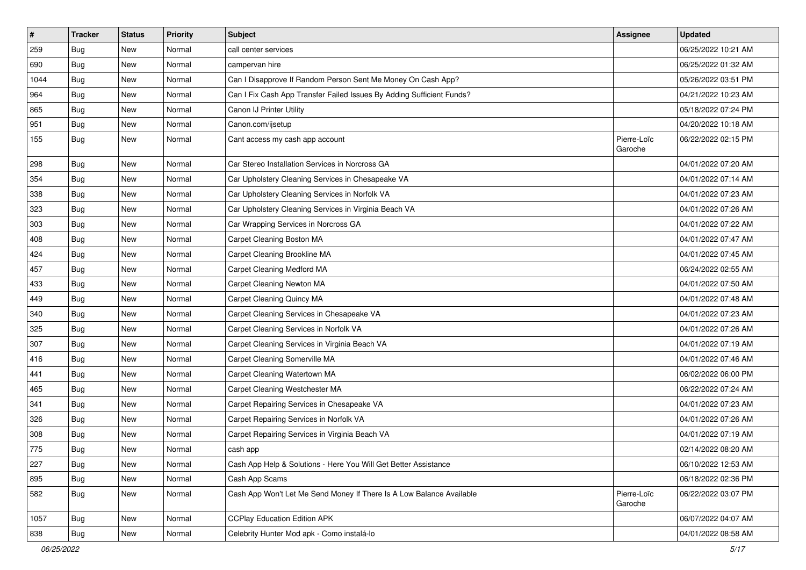| $\pmb{\#}$ | <b>Tracker</b> | <b>Status</b> | <b>Priority</b> | <b>Subject</b>                                                        | <b>Assignee</b>        | <b>Updated</b>      |
|------------|----------------|---------------|-----------------|-----------------------------------------------------------------------|------------------------|---------------------|
| 259        | <b>Bug</b>     | New           | Normal          | call center services                                                  |                        | 06/25/2022 10:21 AM |
| 690        | Bug            | New           | Normal          | campervan hire                                                        |                        | 06/25/2022 01:32 AM |
| 1044       | Bug            | New           | Normal          | Can I Disapprove If Random Person Sent Me Money On Cash App?          |                        | 05/26/2022 03:51 PM |
| 964        | <b>Bug</b>     | New           | Normal          | Can I Fix Cash App Transfer Failed Issues By Adding Sufficient Funds? |                        | 04/21/2022 10:23 AM |
| 865        | Bug            | New           | Normal          | Canon IJ Printer Utility                                              |                        | 05/18/2022 07:24 PM |
| 951        | Bug            | New           | Normal          | Canon.com/ijsetup                                                     |                        | 04/20/2022 10:18 AM |
| 155        | Bug            | New           | Normal          | Cant access my cash app account                                       | Pierre-Loïc<br>Garoche | 06/22/2022 02:15 PM |
| 298        | Bug            | New           | Normal          | Car Stereo Installation Services in Norcross GA                       |                        | 04/01/2022 07:20 AM |
| 354        | <b>Bug</b>     | <b>New</b>    | Normal          | Car Upholstery Cleaning Services in Chesapeake VA                     |                        | 04/01/2022 07:14 AM |
| 338        | Bug            | New           | Normal          | Car Upholstery Cleaning Services in Norfolk VA                        |                        | 04/01/2022 07:23 AM |
| 323        | <b>Bug</b>     | New           | Normal          | Car Upholstery Cleaning Services in Virginia Beach VA                 |                        | 04/01/2022 07:26 AM |
| 303        | Bug            | New           | Normal          | Car Wrapping Services in Norcross GA                                  |                        | 04/01/2022 07:22 AM |
| 408        | <b>Bug</b>     | New           | Normal          | Carpet Cleaning Boston MA                                             |                        | 04/01/2022 07:47 AM |
| 424        | Bug            | <b>New</b>    | Normal          | Carpet Cleaning Brookline MA                                          |                        | 04/01/2022 07:45 AM |
| 457        | Bug            | New           | Normal          | <b>Carpet Cleaning Medford MA</b>                                     |                        | 06/24/2022 02:55 AM |
| 433        | <b>Bug</b>     | New           | Normal          | Carpet Cleaning Newton MA                                             |                        | 04/01/2022 07:50 AM |
| 449        | Bug            | New           | Normal          | Carpet Cleaning Quincy MA                                             |                        | 04/01/2022 07:48 AM |
| 340        | Bug            | New           | Normal          | Carpet Cleaning Services in Chesapeake VA                             |                        | 04/01/2022 07:23 AM |
| 325        | Bug            | New           | Normal          | Carpet Cleaning Services in Norfolk VA                                |                        | 04/01/2022 07:26 AM |
| 307        | Bug            | <b>New</b>    | Normal          | Carpet Cleaning Services in Virginia Beach VA                         |                        | 04/01/2022 07:19 AM |
| 416        | Bug            | New           | Normal          | Carpet Cleaning Somerville MA                                         |                        | 04/01/2022 07:46 AM |
| 441        | Bug            | New           | Normal          | Carpet Cleaning Watertown MA                                          |                        | 06/02/2022 06:00 PM |
| 465        | Bug            | New           | Normal          | Carpet Cleaning Westchester MA                                        |                        | 06/22/2022 07:24 AM |
| 341        | <b>Bug</b>     | New           | Normal          | Carpet Repairing Services in Chesapeake VA                            |                        | 04/01/2022 07:23 AM |
| 326        | <b>Bug</b>     | New           | Normal          | Carpet Repairing Services in Norfolk VA                               |                        | 04/01/2022 07:26 AM |
| 308        | <b>Bug</b>     | New           | Normal          | Carpet Repairing Services in Virginia Beach VA                        |                        | 04/01/2022 07:19 AM |
| 775        | <b>Bug</b>     | New           | Normal          | cash app                                                              |                        | 02/14/2022 08:20 AM |
| 227        | Bug            | New           | Normal          | Cash App Help & Solutions - Here You Will Get Better Assistance       |                        | 06/10/2022 12:53 AM |
| 895        | Bug            | New           | Normal          | Cash App Scams                                                        |                        | 06/18/2022 02:36 PM |
| 582        | <b>Bug</b>     | New           | Normal          | Cash App Won't Let Me Send Money If There Is A Low Balance Available  | Pierre-Loïc<br>Garoche | 06/22/2022 03:07 PM |
| 1057       | Bug            | New           | Normal          | <b>CCPlay Education Edition APK</b>                                   |                        | 06/07/2022 04:07 AM |
| 838        | Bug            | New           | Normal          | Celebrity Hunter Mod apk - Como instalá-lo                            |                        | 04/01/2022 08:58 AM |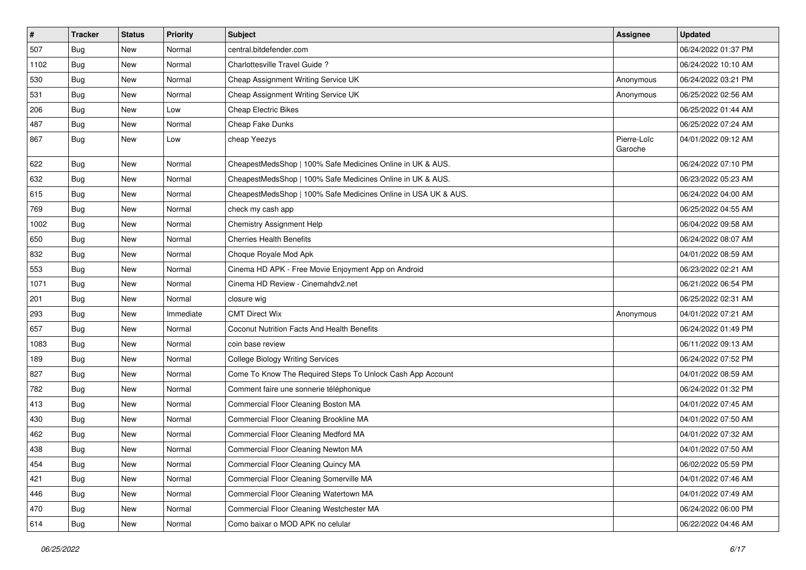| $\vert$ # | <b>Tracker</b> | <b>Status</b> | <b>Priority</b> | <b>Subject</b>                                                 | <b>Assignee</b>        | <b>Updated</b>      |
|-----------|----------------|---------------|-----------------|----------------------------------------------------------------|------------------------|---------------------|
| 507       | <b>Bug</b>     | New           | Normal          | central.bitdefender.com                                        |                        | 06/24/2022 01:37 PM |
| 1102      | Bug            | <b>New</b>    | Normal          | Charlottesville Travel Guide?                                  |                        | 06/24/2022 10:10 AM |
| 530       | Bug            | New           | Normal          | Cheap Assignment Writing Service UK                            | Anonymous              | 06/24/2022 03:21 PM |
| 531       | <b>Bug</b>     | New           | Normal          | Cheap Assignment Writing Service UK                            | Anonymous              | 06/25/2022 02:56 AM |
| 206       | Bug            | <b>New</b>    | Low             | Cheap Electric Bikes                                           |                        | 06/25/2022 01:44 AM |
| 487       | Bug            | New           | Normal          | Cheap Fake Dunks                                               |                        | 06/25/2022 07:24 AM |
| 867       | Bug            | New           | Low             | cheap Yeezys                                                   | Pierre-Loïc<br>Garoche | 04/01/2022 09:12 AM |
| 622       | Bug            | <b>New</b>    | Normal          | CheapestMedsShop   100% Safe Medicines Online in UK & AUS.     |                        | 06/24/2022 07:10 PM |
| 632       | Bug            | <b>New</b>    | Normal          | CheapestMedsShop   100% Safe Medicines Online in UK & AUS.     |                        | 06/23/2022 05:23 AM |
| 615       | Bug            | New           | Normal          | CheapestMedsShop   100% Safe Medicines Online in USA UK & AUS. |                        | 06/24/2022 04:00 AM |
| 769       | <b>Bug</b>     | <b>New</b>    | Normal          | check my cash app                                              |                        | 06/25/2022 04:55 AM |
| 1002      | Bug            | <b>New</b>    | Normal          | <b>Chemistry Assignment Help</b>                               |                        | 06/04/2022 09:58 AM |
| 650       | <b>Bug</b>     | New           | Normal          | <b>Cherries Health Benefits</b>                                |                        | 06/24/2022 08:07 AM |
| 832       | Bug            | <b>New</b>    | Normal          | Choque Royale Mod Apk                                          |                        | 04/01/2022 08:59 AM |
| 553       | Bug            | New           | Normal          | Cinema HD APK - Free Movie Enjoyment App on Android            |                        | 06/23/2022 02:21 AM |
| 1071      | Bug            | <b>New</b>    | Normal          | Cinema HD Review - Cinemahdv2.net                              |                        | 06/21/2022 06:54 PM |
| 201       | Bug            | <b>New</b>    | Normal          | closure wig                                                    |                        | 06/25/2022 02:31 AM |
| 293       | Bug            | New           | Immediate       | <b>CMT Direct Wix</b>                                          | Anonymous              | 04/01/2022 07:21 AM |
| 657       | Bug            | <b>New</b>    | Normal          | Coconut Nutrition Facts And Health Benefits                    |                        | 06/24/2022 01:49 PM |
| 1083      | Bug            | <b>New</b>    | Normal          | coin base review                                               |                        | 06/11/2022 09:13 AM |
| 189       | Bug            | <b>New</b>    | Normal          | <b>College Biology Writing Services</b>                        |                        | 06/24/2022 07:52 PM |
| 827       | Bug            | <b>New</b>    | Normal          | Come To Know The Required Steps To Unlock Cash App Account     |                        | 04/01/2022 08:59 AM |
| 782       | Bug            | New           | Normal          | Comment faire une sonnerie téléphonique                        |                        | 06/24/2022 01:32 PM |
| 413       | <b>Bug</b>     | New           | Normal          | Commercial Floor Cleaning Boston MA                            |                        | 04/01/2022 07:45 AM |
| 430       | Bug            | <b>New</b>    | Normal          | Commercial Floor Cleaning Brookline MA                         |                        | 04/01/2022 07:50 AM |
| 462       | <b>Bug</b>     | New           | Normal          | Commercial Floor Cleaning Medford MA                           |                        | 04/01/2022 07:32 AM |
| 438       | Bug            | New           | Normal          | Commercial Floor Cleaning Newton MA                            |                        | 04/01/2022 07:50 AM |
| 454       | <b>Bug</b>     | New           | Normal          | Commercial Floor Cleaning Quincy MA                            |                        | 06/02/2022 05:59 PM |
| 421       | <b>Bug</b>     | New           | Normal          | Commercial Floor Cleaning Somerville MA                        |                        | 04/01/2022 07:46 AM |
| 446       | <b>Bug</b>     | New           | Normal          | Commercial Floor Cleaning Watertown MA                         |                        | 04/01/2022 07:49 AM |
| 470       | <b>Bug</b>     | New           | Normal          | Commercial Floor Cleaning Westchester MA                       |                        | 06/24/2022 06:00 PM |
| 614       | <b>Bug</b>     | New           | Normal          | Como baixar o MOD APK no celular                               |                        | 06/22/2022 04:46 AM |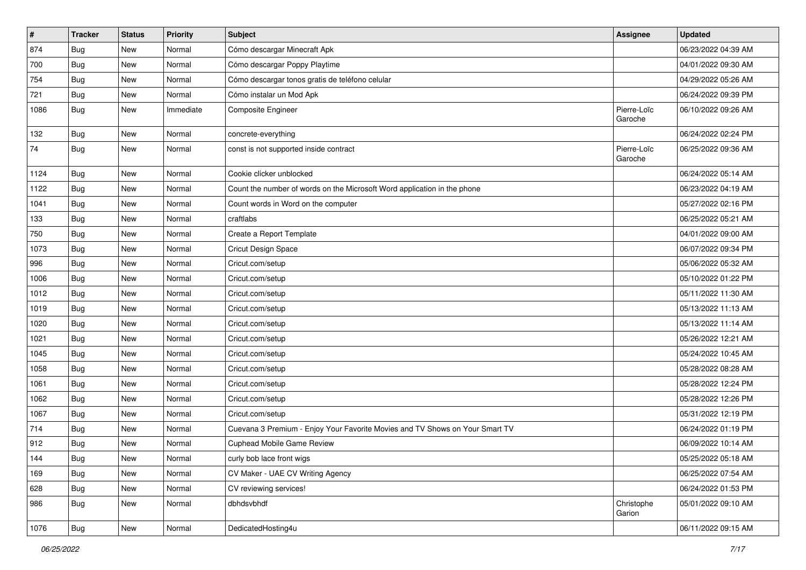| $\vert$ # | <b>Tracker</b> | <b>Status</b> | Priority  | <b>Subject</b>                                                               | <b>Assignee</b>        | <b>Updated</b>      |
|-----------|----------------|---------------|-----------|------------------------------------------------------------------------------|------------------------|---------------------|
| 874       | Bug            | New           | Normal    | Cómo descargar Minecraft Apk                                                 |                        | 06/23/2022 04:39 AM |
| 700       | Bug            | <b>New</b>    | Normal    | Cómo descargar Poppy Playtime                                                |                        | 04/01/2022 09:30 AM |
| 754       | <b>Bug</b>     | New           | Normal    | Cómo descargar tonos gratis de teléfono celular                              |                        | 04/29/2022 05:26 AM |
| 721       | Bug            | <b>New</b>    | Normal    | Cómo instalar un Mod Apk                                                     |                        | 06/24/2022 09:39 PM |
| 1086      | Bug            | <b>New</b>    | Immediate | Composite Engineer                                                           | Pierre-Loïc<br>Garoche | 06/10/2022 09:26 AM |
| 132       | Bug            | New           | Normal    | concrete-everything                                                          |                        | 06/24/2022 02:24 PM |
| 74        | Bug            | New           | Normal    | const is not supported inside contract                                       | Pierre-Loïc<br>Garoche | 06/25/2022 09:36 AM |
| 1124      | Bug            | New           | Normal    | Cookie clicker unblocked                                                     |                        | 06/24/2022 05:14 AM |
| 1122      | Bug            | New           | Normal    | Count the number of words on the Microsoft Word application in the phone     |                        | 06/23/2022 04:19 AM |
| 1041      | Bug            | New           | Normal    | Count words in Word on the computer                                          |                        | 05/27/2022 02:16 PM |
| 133       | <b>Bug</b>     | <b>New</b>    | Normal    | craftlabs                                                                    |                        | 06/25/2022 05:21 AM |
| 750       | Bug            | <b>New</b>    | Normal    | Create a Report Template                                                     |                        | 04/01/2022 09:00 AM |
| 1073      | Bug            | <b>New</b>    | Normal    | Cricut Design Space                                                          |                        | 06/07/2022 09:34 PM |
| 996       | Bug            | New           | Normal    | Cricut.com/setup                                                             |                        | 05/06/2022 05:32 AM |
| 1006      | Bug            | New           | Normal    | Cricut.com/setup                                                             |                        | 05/10/2022 01:22 PM |
| 1012      | Bug            | <b>New</b>    | Normal    | Cricut.com/setup                                                             |                        | 05/11/2022 11:30 AM |
| 1019      | Bug            | New           | Normal    | Cricut.com/setup                                                             |                        | 05/13/2022 11:13 AM |
| 1020      | Bug            | New           | Normal    | Cricut.com/setup                                                             |                        | 05/13/2022 11:14 AM |
| 1021      | Bug            | New           | Normal    | Cricut.com/setup                                                             |                        | 05/26/2022 12:21 AM |
| 1045      | Bug            | <b>New</b>    | Normal    | Cricut.com/setup                                                             |                        | 05/24/2022 10:45 AM |
| 1058      | Bug            | <b>New</b>    | Normal    | Cricut.com/setup                                                             |                        | 05/28/2022 08:28 AM |
| 1061      | Bug            | <b>New</b>    | Normal    | Cricut.com/setup                                                             |                        | 05/28/2022 12:24 PM |
| 1062      | Bug            | <b>New</b>    | Normal    | Cricut.com/setup                                                             |                        | 05/28/2022 12:26 PM |
| 1067      | Bug            | <b>New</b>    | Normal    | Cricut.com/setup                                                             |                        | 05/31/2022 12:19 PM |
| 714       | Bug            | <b>New</b>    | Normal    | Cuevana 3 Premium - Enjoy Your Favorite Movies and TV Shows on Your Smart TV |                        | 06/24/2022 01:19 PM |
| 912       | Bug            | <b>New</b>    | Normal    | <b>Cuphead Mobile Game Review</b>                                            |                        | 06/09/2022 10:14 AM |
| 144       | Bug            | New           | Normal    | curly bob lace front wigs                                                    |                        | 05/25/2022 05:18 AM |
| 169       | Bug            | New           | Normal    | CV Maker - UAE CV Writing Agency                                             |                        | 06/25/2022 07:54 AM |
| 628       | Bug            | New           | Normal    | CV reviewing services!                                                       |                        | 06/24/2022 01:53 PM |
| 986       | <b>Bug</b>     | New           | Normal    | dbhdsvbhdf                                                                   | Christophe<br>Garion   | 05/01/2022 09:10 AM |
| 1076      | Bug            | New           | Normal    | DedicatedHosting4u                                                           |                        | 06/11/2022 09:15 AM |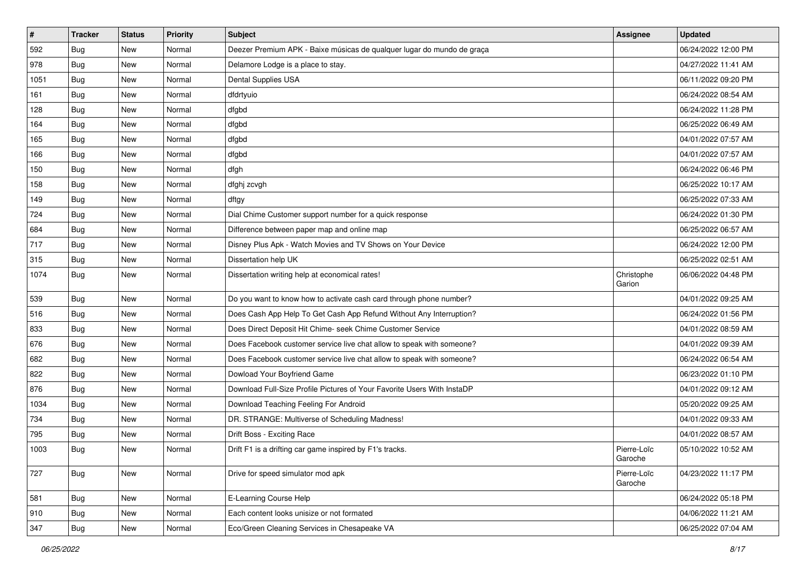| $\sharp$ | <b>Tracker</b> | <b>Status</b> | <b>Priority</b> | <b>Subject</b>                                                          | <b>Assignee</b>        | <b>Updated</b>      |
|----------|----------------|---------------|-----------------|-------------------------------------------------------------------------|------------------------|---------------------|
| 592      | <b>Bug</b>     | New           | Normal          | Deezer Premium APK - Baixe músicas de qualquer lugar do mundo de graça  |                        | 06/24/2022 12:00 PM |
| 978      | Bug            | New           | Normal          | Delamore Lodge is a place to stay.                                      |                        | 04/27/2022 11:41 AM |
| 1051     | Bug            | New           | Normal          | Dental Supplies USA                                                     |                        | 06/11/2022 09:20 PM |
| 161      | <b>Bug</b>     | New           | Normal          | dfdrtyuio                                                               |                        | 06/24/2022 08:54 AM |
| 128      | Bug            | New           | Normal          | dfgbd                                                                   |                        | 06/24/2022 11:28 PM |
| 164      | Bug            | New           | Normal          | dfgbd                                                                   |                        | 06/25/2022 06:49 AM |
| 165      | Bug            | New           | Normal          | dfgbd                                                                   |                        | 04/01/2022 07:57 AM |
| 166      | Bug            | New           | Normal          | dfgbd                                                                   |                        | 04/01/2022 07:57 AM |
| 150      | <b>Bug</b>     | New           | Normal          | dfgh                                                                    |                        | 06/24/2022 06:46 PM |
| 158      | Bug            | New           | Normal          | dfghj zcvgh                                                             |                        | 06/25/2022 10:17 AM |
| 149      | Bug            | New           | Normal          | dftgy                                                                   |                        | 06/25/2022 07:33 AM |
| 724      | Bug            | New           | Normal          | Dial Chime Customer support number for a quick response                 |                        | 06/24/2022 01:30 PM |
| 684      | Bug            | <b>New</b>    | Normal          | Difference between paper map and online map                             |                        | 06/25/2022 06:57 AM |
| 717      | <b>Bug</b>     | New           | Normal          | Disney Plus Apk - Watch Movies and TV Shows on Your Device              |                        | 06/24/2022 12:00 PM |
| 315      | Bug            | New           | Normal          | Dissertation help UK                                                    |                        | 06/25/2022 02:51 AM |
| 1074     | Bug            | New           | Normal          | Dissertation writing help at economical rates!                          | Christophe<br>Garion   | 06/06/2022 04:48 PM |
| 539      | Bug            | New           | Normal          | Do you want to know how to activate cash card through phone number?     |                        | 04/01/2022 09:25 AM |
| 516      | Bug            | New           | Normal          | Does Cash App Help To Get Cash App Refund Without Any Interruption?     |                        | 06/24/2022 01:56 PM |
| 833      | Bug            | New           | Normal          | Does Direct Deposit Hit Chime- seek Chime Customer Service              |                        | 04/01/2022 08:59 AM |
| 676      | Bug            | <b>New</b>    | Normal          | Does Facebook customer service live chat allow to speak with someone?   |                        | 04/01/2022 09:39 AM |
| 682      | Bug            | New           | Normal          | Does Facebook customer service live chat allow to speak with someone?   |                        | 06/24/2022 06:54 AM |
| 822      | Bug            | New           | Normal          | Dowload Your Boyfriend Game                                             |                        | 06/23/2022 01:10 PM |
| 876      | Bug            | New           | Normal          | Download Full-Size Profile Pictures of Your Favorite Users With InstaDP |                        | 04/01/2022 09:12 AM |
| 1034     | <b>Bug</b>     | New           | Normal          | Download Teaching Feeling For Android                                   |                        | 05/20/2022 09:25 AM |
| 734      | Bug            | New           | Normal          | DR. STRANGE: Multiverse of Scheduling Madness!                          |                        | 04/01/2022 09:33 AM |
| 795      | <b>Bug</b>     | New           | Normal          | Drift Boss - Exciting Race                                              |                        | 04/01/2022 08:57 AM |
| 1003     | <b>Bug</b>     | New           | Normal          | Drift F1 is a drifting car game inspired by F1's tracks.                | Pierre-Loïc<br>Garoche | 05/10/2022 10:52 AM |
| 727      | Bug            | New           | Normal          | Drive for speed simulator mod apk                                       | Pierre-Loïc<br>Garoche | 04/23/2022 11:17 PM |
| 581      | Bug            | New           | Normal          | E-Learning Course Help                                                  |                        | 06/24/2022 05:18 PM |
| 910      | <b>Bug</b>     | New           | Normal          | Each content looks unisize or not formated                              |                        | 04/06/2022 11:21 AM |
| 347      | Bug            | New           | Normal          | Eco/Green Cleaning Services in Chesapeake VA                            |                        | 06/25/2022 07:04 AM |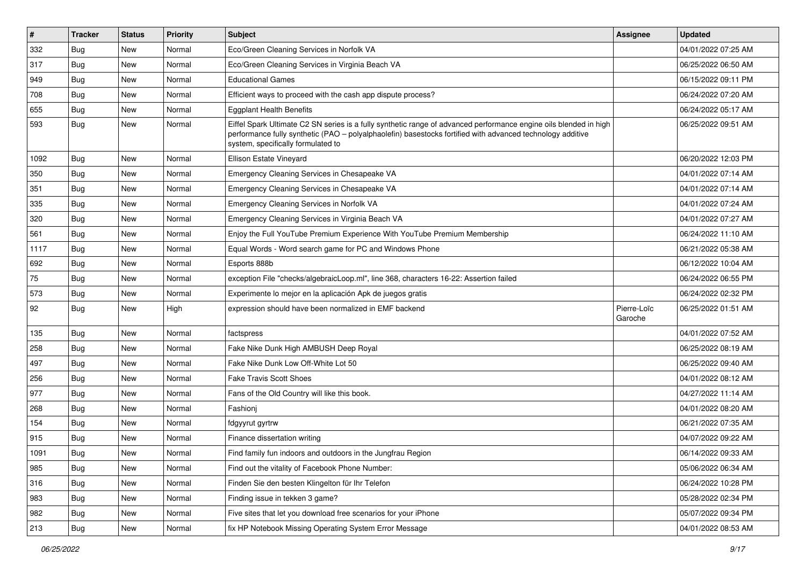| $\vert$ # | <b>Tracker</b> | <b>Status</b> | <b>Priority</b> | Subject                                                                                                                                                                                                                                                               | <b>Assignee</b>        | <b>Updated</b>      |
|-----------|----------------|---------------|-----------------|-----------------------------------------------------------------------------------------------------------------------------------------------------------------------------------------------------------------------------------------------------------------------|------------------------|---------------------|
| 332       | Bug            | New           | Normal          | Eco/Green Cleaning Services in Norfolk VA                                                                                                                                                                                                                             |                        | 04/01/2022 07:25 AM |
| 317       | Bug            | <b>New</b>    | Normal          | Eco/Green Cleaning Services in Virginia Beach VA                                                                                                                                                                                                                      |                        | 06/25/2022 06:50 AM |
| 949       | <b>Bug</b>     | New           | Normal          | <b>Educational Games</b>                                                                                                                                                                                                                                              |                        | 06/15/2022 09:11 PM |
| 708       | Bug            | New           | Normal          | Efficient ways to proceed with the cash app dispute process?                                                                                                                                                                                                          |                        | 06/24/2022 07:20 AM |
| 655       | Bug            | <b>New</b>    | Normal          | <b>Eggplant Health Benefits</b>                                                                                                                                                                                                                                       |                        | 06/24/2022 05:17 AM |
| 593       | Bug            | New           | Normal          | Eiffel Spark Ultimate C2 SN series is a fully synthetic range of advanced performance engine oils blended in high<br>performance fully synthetic (PAO - polyalphaolefin) basestocks fortified with advanced technology additive<br>system, specifically formulated to |                        | 06/25/2022 09:51 AM |
| 1092      | Bug            | <b>New</b>    | Normal          | Ellison Estate Vineyard                                                                                                                                                                                                                                               |                        | 06/20/2022 12:03 PM |
| 350       | Bug            | <b>New</b>    | Normal          | Emergency Cleaning Services in Chesapeake VA                                                                                                                                                                                                                          |                        | 04/01/2022 07:14 AM |
| 351       | Bug            | New           | Normal          | Emergency Cleaning Services in Chesapeake VA                                                                                                                                                                                                                          |                        | 04/01/2022 07:14 AM |
| 335       | Bug            | New           | Normal          | Emergency Cleaning Services in Norfolk VA                                                                                                                                                                                                                             |                        | 04/01/2022 07:24 AM |
| 320       | Bug            | New           | Normal          | Emergency Cleaning Services in Virginia Beach VA                                                                                                                                                                                                                      |                        | 04/01/2022 07:27 AM |
| 561       | <b>Bug</b>     | New           | Normal          | Enjoy the Full YouTube Premium Experience With YouTube Premium Membership                                                                                                                                                                                             |                        | 06/24/2022 11:10 AM |
| 1117      | Bug            | New           | Normal          | Equal Words - Word search game for PC and Windows Phone                                                                                                                                                                                                               |                        | 06/21/2022 05:38 AM |
| 692       | Bug            | New           | Normal          | Esports 888b                                                                                                                                                                                                                                                          |                        | 06/12/2022 10:04 AM |
| 75        | Bug            | <b>New</b>    | Normal          | exception File "checks/algebraicLoop.ml", line 368, characters 16-22: Assertion failed                                                                                                                                                                                |                        | 06/24/2022 06:55 PM |
| 573       | Bug            | New           | Normal          | Experimente lo mejor en la aplicación Apk de juegos gratis                                                                                                                                                                                                            |                        | 06/24/2022 02:32 PM |
| 92        | <b>Bug</b>     | New           | High            | expression should have been normalized in EMF backend                                                                                                                                                                                                                 | Pierre-Loïc<br>Garoche | 06/25/2022 01:51 AM |
| 135       | Bug            | <b>New</b>    | Normal          | factspress                                                                                                                                                                                                                                                            |                        | 04/01/2022 07:52 AM |
| 258       | Bug            | New           | Normal          | Fake Nike Dunk High AMBUSH Deep Royal                                                                                                                                                                                                                                 |                        | 06/25/2022 08:19 AM |
| 497       | <b>Bug</b>     | New           | Normal          | Fake Nike Dunk Low Off-White Lot 50                                                                                                                                                                                                                                   |                        | 06/25/2022 09:40 AM |
| 256       | Bug            | New           | Normal          | <b>Fake Travis Scott Shoes</b>                                                                                                                                                                                                                                        |                        | 04/01/2022 08:12 AM |
| 977       | <b>Bug</b>     | New           | Normal          | Fans of the Old Country will like this book.                                                                                                                                                                                                                          |                        | 04/27/2022 11:14 AM |
| 268       | Bug            | New           | Normal          | Fashionj                                                                                                                                                                                                                                                              |                        | 04/01/2022 08:20 AM |
| 154       | Bug            | New           | Normal          | fdgyyrut gyrtrw                                                                                                                                                                                                                                                       |                        | 06/21/2022 07:35 AM |
| 915       | Bug            | New           | Normal          | Finance dissertation writing                                                                                                                                                                                                                                          |                        | 04/07/2022 09:22 AM |
| 1091      | Bug            | New           | Normal          | Find family fun indoors and outdoors in the Jungfrau Region                                                                                                                                                                                                           |                        | 06/14/2022 09:33 AM |
| 985       | Bug            | New           | Normal          | Find out the vitality of Facebook Phone Number:                                                                                                                                                                                                                       |                        | 05/06/2022 06:34 AM |
| 316       | Bug            | New           | Normal          | Finden Sie den besten Klingelton für Ihr Telefon                                                                                                                                                                                                                      |                        | 06/24/2022 10:28 PM |
| 983       | <b>Bug</b>     | New           | Normal          | Finding issue in tekken 3 game?                                                                                                                                                                                                                                       |                        | 05/28/2022 02:34 PM |
| 982       | Bug            | New           | Normal          | Five sites that let you download free scenarios for your iPhone                                                                                                                                                                                                       |                        | 05/07/2022 09:34 PM |
| 213       | <b>Bug</b>     | New           | Normal          | fix HP Notebook Missing Operating System Error Message                                                                                                                                                                                                                |                        | 04/01/2022 08:53 AM |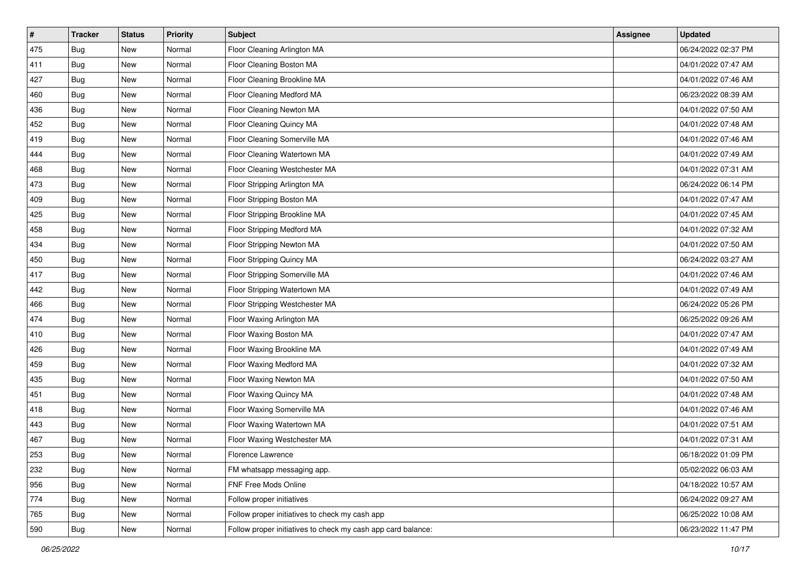| $\vert$ # | <b>Tracker</b> | <b>Status</b> | Priority | <b>Subject</b>                                               | <b>Assignee</b> | <b>Updated</b>      |
|-----------|----------------|---------------|----------|--------------------------------------------------------------|-----------------|---------------------|
| 475       | <b>Bug</b>     | New           | Normal   | Floor Cleaning Arlington MA                                  |                 | 06/24/2022 02:37 PM |
| 411       | Bug            | New           | Normal   | Floor Cleaning Boston MA                                     |                 | 04/01/2022 07:47 AM |
| 427       | <b>Bug</b>     | New           | Normal   | Floor Cleaning Brookline MA                                  |                 | 04/01/2022 07:46 AM |
| 460       | <b>Bug</b>     | New           | Normal   | Floor Cleaning Medford MA                                    |                 | 06/23/2022 08:39 AM |
| 436       | Bug            | New           | Normal   | Floor Cleaning Newton MA                                     |                 | 04/01/2022 07:50 AM |
| 452       | <b>Bug</b>     | New           | Normal   | Floor Cleaning Quincy MA                                     |                 | 04/01/2022 07:48 AM |
| 419       | <b>Bug</b>     | New           | Normal   | Floor Cleaning Somerville MA                                 |                 | 04/01/2022 07:46 AM |
| 444       | <b>Bug</b>     | New           | Normal   | Floor Cleaning Watertown MA                                  |                 | 04/01/2022 07:49 AM |
| 468       | <b>Bug</b>     | New           | Normal   | Floor Cleaning Westchester MA                                |                 | 04/01/2022 07:31 AM |
| 473       | Bug            | New           | Normal   | Floor Stripping Arlington MA                                 |                 | 06/24/2022 06:14 PM |
| 409       | Bug            | New           | Normal   | Floor Stripping Boston MA                                    |                 | 04/01/2022 07:47 AM |
| 425       | Bug            | New           | Normal   | Floor Stripping Brookline MA                                 |                 | 04/01/2022 07:45 AM |
| 458       | <b>Bug</b>     | New           | Normal   | Floor Stripping Medford MA                                   |                 | 04/01/2022 07:32 AM |
| 434       | <b>Bug</b>     | New           | Normal   | Floor Stripping Newton MA                                    |                 | 04/01/2022 07:50 AM |
| 450       | <b>Bug</b>     | New           | Normal   | Floor Stripping Quincy MA                                    |                 | 06/24/2022 03:27 AM |
| 417       | <b>Bug</b>     | New           | Normal   | Floor Stripping Somerville MA                                |                 | 04/01/2022 07:46 AM |
| 442       | <b>Bug</b>     | New           | Normal   | Floor Stripping Watertown MA                                 |                 | 04/01/2022 07:49 AM |
| 466       | Bug            | New           | Normal   | Floor Stripping Westchester MA                               |                 | 06/24/2022 05:26 PM |
| 474       | Bug            | New           | Normal   | Floor Waxing Arlington MA                                    |                 | 06/25/2022 09:26 AM |
| 410       | <b>Bug</b>     | New           | Normal   | Floor Waxing Boston MA                                       |                 | 04/01/2022 07:47 AM |
| 426       | <b>Bug</b>     | New           | Normal   | Floor Waxing Brookline MA                                    |                 | 04/01/2022 07:49 AM |
| 459       | <b>Bug</b>     | New           | Normal   | Floor Waxing Medford MA                                      |                 | 04/01/2022 07:32 AM |
| 435       | Bug            | <b>New</b>    | Normal   | Floor Waxing Newton MA                                       |                 | 04/01/2022 07:50 AM |
| 451       | <b>Bug</b>     | New           | Normal   | Floor Waxing Quincy MA                                       |                 | 04/01/2022 07:48 AM |
| 418       | Bug            | New           | Normal   | Floor Waxing Somerville MA                                   |                 | 04/01/2022 07:46 AM |
| 443       | <b>Bug</b>     | <b>New</b>    | Normal   | Floor Waxing Watertown MA                                    |                 | 04/01/2022 07:51 AM |
| 467       | <b>Bug</b>     | New           | Normal   | Floor Waxing Westchester MA                                  |                 | 04/01/2022 07:31 AM |
| 253       | i Bug          | New           | Normal   | Florence Lawrence                                            |                 | 06/18/2022 01:09 PM |
| 232       | Bug            | New           | Normal   | FM whatsapp messaging app.                                   |                 | 05/02/2022 06:03 AM |
| 956       | Bug            | New           | Normal   | FNF Free Mods Online                                         |                 | 04/18/2022 10:57 AM |
| 774       | Bug            | New           | Normal   | Follow proper initiatives                                    |                 | 06/24/2022 09:27 AM |
| 765       | <b>Bug</b>     | New           | Normal   | Follow proper initiatives to check my cash app               |                 | 06/25/2022 10:08 AM |
| 590       | <b>Bug</b>     | New           | Normal   | Follow proper initiatives to check my cash app card balance: |                 | 06/23/2022 11:47 PM |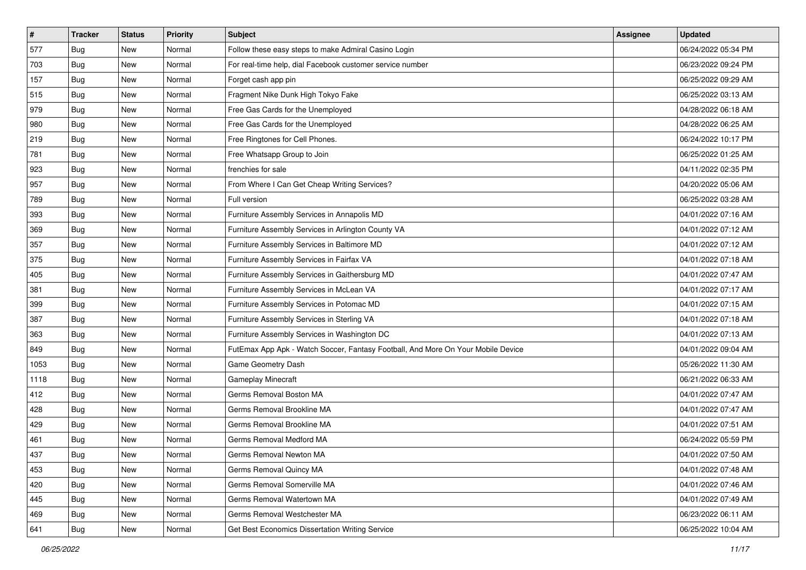| $\vert$ # | <b>Tracker</b> | <b>Status</b> | <b>Priority</b> | <b>Subject</b>                                                                   | <b>Assignee</b> | <b>Updated</b>      |
|-----------|----------------|---------------|-----------------|----------------------------------------------------------------------------------|-----------------|---------------------|
| 577       | <b>Bug</b>     | New           | Normal          | Follow these easy steps to make Admiral Casino Login                             |                 | 06/24/2022 05:34 PM |
| 703       | Bug            | New           | Normal          | For real-time help, dial Facebook customer service number                        |                 | 06/23/2022 09:24 PM |
| 157       | <b>Bug</b>     | New           | Normal          | Forget cash app pin                                                              |                 | 06/25/2022 09:29 AM |
| 515       | Bug            | <b>New</b>    | Normal          | Fragment Nike Dunk High Tokyo Fake                                               |                 | 06/25/2022 03:13 AM |
| 979       | Bug            | <b>New</b>    | Normal          | Free Gas Cards for the Unemployed                                                |                 | 04/28/2022 06:18 AM |
| 980       | <b>Bug</b>     | New           | Normal          | Free Gas Cards for the Unemployed                                                |                 | 04/28/2022 06:25 AM |
| 219       | Bug            | New           | Normal          | Free Ringtones for Cell Phones.                                                  |                 | 06/24/2022 10:17 PM |
| 781       | Bug            | New           | Normal          | Free Whatsapp Group to Join                                                      |                 | 06/25/2022 01:25 AM |
| 923       | <b>Bug</b>     | New           | Normal          | frenchies for sale                                                               |                 | 04/11/2022 02:35 PM |
| 957       | Bug            | <b>New</b>    | Normal          | From Where I Can Get Cheap Writing Services?                                     |                 | 04/20/2022 05:06 AM |
| 789       | Bug            | New           | Normal          | Full version                                                                     |                 | 06/25/2022 03:28 AM |
| 393       | <b>Bug</b>     | New           | Normal          | Furniture Assembly Services in Annapolis MD                                      |                 | 04/01/2022 07:16 AM |
| 369       | Bug            | <b>New</b>    | Normal          | Furniture Assembly Services in Arlington County VA                               |                 | 04/01/2022 07:12 AM |
| 357       | Bug            | New           | Normal          | Furniture Assembly Services in Baltimore MD                                      |                 | 04/01/2022 07:12 AM |
| 375       | Bug            | <b>New</b>    | Normal          | Furniture Assembly Services in Fairfax VA                                        |                 | 04/01/2022 07:18 AM |
| 405       | <b>Bug</b>     | New           | Normal          | Furniture Assembly Services in Gaithersburg MD                                   |                 | 04/01/2022 07:47 AM |
| 381       | Bug            | <b>New</b>    | Normal          | Furniture Assembly Services in McLean VA                                         |                 | 04/01/2022 07:17 AM |
| 399       | Bug            | <b>New</b>    | Normal          | Furniture Assembly Services in Potomac MD                                        |                 | 04/01/2022 07:15 AM |
| 387       | <b>Bug</b>     | New           | Normal          | Furniture Assembly Services in Sterling VA                                       |                 | 04/01/2022 07:18 AM |
| 363       | Bug            | <b>New</b>    | Normal          | Furniture Assembly Services in Washington DC                                     |                 | 04/01/2022 07:13 AM |
| 849       | Bug            | New           | Normal          | FutEmax App Apk - Watch Soccer, Fantasy Football, And More On Your Mobile Device |                 | 04/01/2022 09:04 AM |
| 1053      | Bug            | <b>New</b>    | Normal          | Game Geometry Dash                                                               |                 | 05/26/2022 11:30 AM |
| 1118      | Bug            | <b>New</b>    | Normal          | Gameplay Minecraft                                                               |                 | 06/21/2022 06:33 AM |
| 412       | Bug            | New           | Normal          | Germs Removal Boston MA                                                          |                 | 04/01/2022 07:47 AM |
| 428       | <b>Bug</b>     | New           | Normal          | Germs Removal Brookline MA                                                       |                 | 04/01/2022 07:47 AM |
| 429       | <b>Bug</b>     | <b>New</b>    | Normal          | Germs Removal Brookline MA                                                       |                 | 04/01/2022 07:51 AM |
| 461       | Bug            | New           | Normal          | Germs Removal Medford MA                                                         |                 | 06/24/2022 05:59 PM |
| 437       | <b>Bug</b>     | New           | Normal          | Germs Removal Newton MA                                                          |                 | 04/01/2022 07:50 AM |
| 453       | Bug            | New           | Normal          | Germs Removal Quincy MA                                                          |                 | 04/01/2022 07:48 AM |
| 420       | Bug            | New           | Normal          | Germs Removal Somerville MA                                                      |                 | 04/01/2022 07:46 AM |
| 445       | Bug            | New           | Normal          | Germs Removal Watertown MA                                                       |                 | 04/01/2022 07:49 AM |
| 469       | Bug            | New           | Normal          | Germs Removal Westchester MA                                                     |                 | 06/23/2022 06:11 AM |
| 641       | <b>Bug</b>     | New           | Normal          | Get Best Economics Dissertation Writing Service                                  |                 | 06/25/2022 10:04 AM |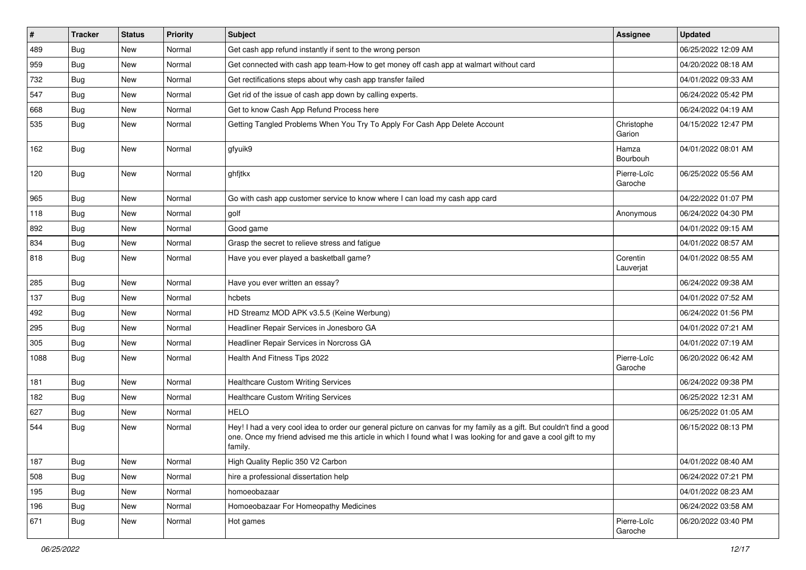| $\vert$ # | <b>Tracker</b> | <b>Status</b> | <b>Priority</b> | <b>Subject</b>                                                                                                                                                                                                                                    | <b>Assignee</b>        | <b>Updated</b>      |
|-----------|----------------|---------------|-----------------|---------------------------------------------------------------------------------------------------------------------------------------------------------------------------------------------------------------------------------------------------|------------------------|---------------------|
| 489       | <b>Bug</b>     | New           | Normal          | Get cash app refund instantly if sent to the wrong person                                                                                                                                                                                         |                        | 06/25/2022 12:09 AM |
| 959       | Bug            | <b>New</b>    | Normal          | Get connected with cash app team-How to get money off cash app at walmart without card                                                                                                                                                            |                        | 04/20/2022 08:18 AM |
| 732       | Bug            | New           | Normal          | Get rectifications steps about why cash app transfer failed                                                                                                                                                                                       |                        | 04/01/2022 09:33 AM |
| 547       | Bug            | New           | Normal          | Get rid of the issue of cash app down by calling experts.                                                                                                                                                                                         |                        | 06/24/2022 05:42 PM |
| 668       | Bug            | <b>New</b>    | Normal          | Get to know Cash App Refund Process here                                                                                                                                                                                                          |                        | 06/24/2022 04:19 AM |
| 535       | <b>Bug</b>     | New           | Normal          | Getting Tangled Problems When You Try To Apply For Cash App Delete Account                                                                                                                                                                        | Christophe<br>Garion   | 04/15/2022 12:47 PM |
| 162       | Bug            | New           | Normal          | gfyuik9                                                                                                                                                                                                                                           | Hamza<br>Bourbouh      | 04/01/2022 08:01 AM |
| 120       | Bug            | <b>New</b>    | Normal          | ghfjtkx                                                                                                                                                                                                                                           | Pierre-Loïc<br>Garoche | 06/25/2022 05:56 AM |
| 965       | Bug            | <b>New</b>    | Normal          | Go with cash app customer service to know where I can load my cash app card                                                                                                                                                                       |                        | 04/22/2022 01:07 PM |
| 118       | Bug            | <b>New</b>    | Normal          | golf                                                                                                                                                                                                                                              | Anonymous              | 06/24/2022 04:30 PM |
| 892       | <b>Bug</b>     | <b>New</b>    | Normal          | Good game                                                                                                                                                                                                                                         |                        | 04/01/2022 09:15 AM |
| 834       | Bug            | <b>New</b>    | Normal          | Grasp the secret to relieve stress and fatigue                                                                                                                                                                                                    |                        | 04/01/2022 08:57 AM |
| 818       | Bug            | <b>New</b>    | Normal          | Have you ever played a basketball game?                                                                                                                                                                                                           | Corentin<br>Lauverjat  | 04/01/2022 08:55 AM |
| 285       | Bug            | <b>New</b>    | Normal          | Have you ever written an essay?                                                                                                                                                                                                                   |                        | 06/24/2022 09:38 AM |
| 137       | Bug            | New           | Normal          | hcbets                                                                                                                                                                                                                                            |                        | 04/01/2022 07:52 AM |
| 492       | <b>Bug</b>     | New           | Normal          | HD Streamz MOD APK v3.5.5 (Keine Werbung)                                                                                                                                                                                                         |                        | 06/24/2022 01:56 PM |
| 295       | Bug            | <b>New</b>    | Normal          | Headliner Repair Services in Jonesboro GA                                                                                                                                                                                                         |                        | 04/01/2022 07:21 AM |
| 305       | <b>Bug</b>     | New           | Normal          | Headliner Repair Services in Norcross GA                                                                                                                                                                                                          |                        | 04/01/2022 07:19 AM |
| 1088      | Bug            | New           | Normal          | Health And Fitness Tips 2022                                                                                                                                                                                                                      | Pierre-Loïc<br>Garoche | 06/20/2022 06:42 AM |
| 181       | Bug            | New           | Normal          | Healthcare Custom Writing Services                                                                                                                                                                                                                |                        | 06/24/2022 09:38 PM |
| 182       | Bug            | <b>New</b>    | Normal          | <b>Healthcare Custom Writing Services</b>                                                                                                                                                                                                         |                        | 06/25/2022 12:31 AM |
| 627       | Bug            | New           | Normal          | <b>HELO</b>                                                                                                                                                                                                                                       |                        | 06/25/2022 01:05 AM |
| 544       | Bug            | New           | Normal          | Hey! I had a very cool idea to order our general picture on canvas for my family as a gift. But couldn't find a good<br>one. Once my friend advised me this article in which I found what I was looking for and gave a cool gift to my<br>family. |                        | 06/15/2022 08:13 PM |
| 187       | <b>Bug</b>     | New           | Normal          | High Quality Replic 350 V2 Carbon                                                                                                                                                                                                                 |                        | 04/01/2022 08:40 AM |
| 508       | Bug            | New           | Normal          | hire a professional dissertation help                                                                                                                                                                                                             |                        | 06/24/2022 07:21 PM |
| 195       | Bug            | New           | Normal          | homoeobazaar                                                                                                                                                                                                                                      |                        | 04/01/2022 08:23 AM |
| 196       | Bug            | New           | Normal          | Homoeobazaar For Homeopathy Medicines                                                                                                                                                                                                             |                        | 06/24/2022 03:58 AM |
| 671       | <b>Bug</b>     | New           | Normal          | Hot games                                                                                                                                                                                                                                         | Pierre-Loïc<br>Garoche | 06/20/2022 03:40 PM |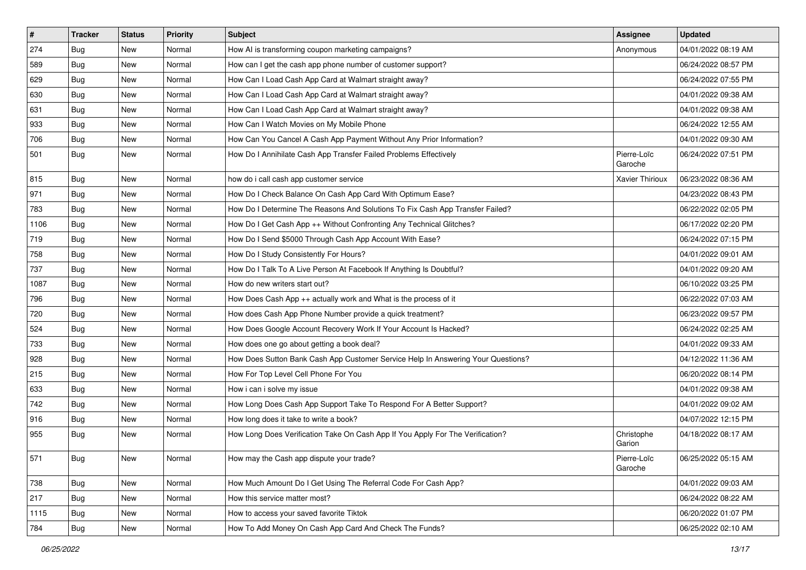| $\sharp$ | <b>Tracker</b> | <b>Status</b> | <b>Priority</b> | <b>Subject</b>                                                                   | <b>Assignee</b>        | <b>Updated</b>      |
|----------|----------------|---------------|-----------------|----------------------------------------------------------------------------------|------------------------|---------------------|
| 274      | <b>Bug</b>     | New           | Normal          | How AI is transforming coupon marketing campaigns?                               | Anonymous              | 04/01/2022 08:19 AM |
| 589      | Bug            | New           | Normal          | How can I get the cash app phone number of customer support?                     |                        | 06/24/2022 08:57 PM |
| 629      | Bug            | New           | Normal          | How Can I Load Cash App Card at Walmart straight away?                           |                        | 06/24/2022 07:55 PM |
| 630      | <b>Bug</b>     | New           | Normal          | How Can I Load Cash App Card at Walmart straight away?                           |                        | 04/01/2022 09:38 AM |
| 631      | Bug            | New           | Normal          | How Can I Load Cash App Card at Walmart straight away?                           |                        | 04/01/2022 09:38 AM |
| 933      | <b>Bug</b>     | New           | Normal          | How Can I Watch Movies on My Mobile Phone                                        |                        | 06/24/2022 12:55 AM |
| 706      | Bug            | New           | Normal          | How Can You Cancel A Cash App Payment Without Any Prior Information?             |                        | 04/01/2022 09:30 AM |
| 501      | Bug            | New           | Normal          | How Do I Annihilate Cash App Transfer Failed Problems Effectively                | Pierre-Loïc<br>Garoche | 06/24/2022 07:51 PM |
| 815      | <b>Bug</b>     | <b>New</b>    | Normal          | how do i call cash app customer service                                          | <b>Xavier Thirioux</b> | 06/23/2022 08:36 AM |
| 971      | Bug            | New           | Normal          | How Do I Check Balance On Cash App Card With Optimum Ease?                       |                        | 04/23/2022 08:43 PM |
| 783      | <b>Bug</b>     | New           | Normal          | How Do I Determine The Reasons And Solutions To Fix Cash App Transfer Failed?    |                        | 06/22/2022 02:05 PM |
| 1106     | Bug            | New           | Normal          | How Do I Get Cash App ++ Without Confronting Any Technical Glitches?             |                        | 06/17/2022 02:20 PM |
| 719      | <b>Bug</b>     | New           | Normal          | How Do I Send \$5000 Through Cash App Account With Ease?                         |                        | 06/24/2022 07:15 PM |
| 758      | <b>Bug</b>     | New           | Normal          | How Do I Study Consistently For Hours?                                           |                        | 04/01/2022 09:01 AM |
| 737      | <b>Bug</b>     | New           | Normal          | How Do I Talk To A Live Person At Facebook If Anything Is Doubtful?              |                        | 04/01/2022 09:20 AM |
| 1087     | <b>Bug</b>     | New           | Normal          | How do new writers start out?                                                    |                        | 06/10/2022 03:25 PM |
| 796      | Bug            | New           | Normal          | How Does Cash App ++ actually work and What is the process of it                 |                        | 06/22/2022 07:03 AM |
| 720      | Bug            | New           | Normal          | How does Cash App Phone Number provide a quick treatment?                        |                        | 06/23/2022 09:57 PM |
| 524      | Bug            | New           | Normal          | How Does Google Account Recovery Work If Your Account Is Hacked?                 |                        | 06/24/2022 02:25 AM |
| 733      | Bug            | <b>New</b>    | Normal          | How does one go about getting a book deal?                                       |                        | 04/01/2022 09:33 AM |
| 928      | Bug            | New           | Normal          | How Does Sutton Bank Cash App Customer Service Help In Answering Your Questions? |                        | 04/12/2022 11:36 AM |
| 215      | Bug            | New           | Normal          | How For Top Level Cell Phone For You                                             |                        | 06/20/2022 08:14 PM |
| 633      | Bug            | New           | Normal          | How i can i solve my issue                                                       |                        | 04/01/2022 09:38 AM |
| 742      | <b>Bug</b>     | New           | Normal          | How Long Does Cash App Support Take To Respond For A Better Support?             |                        | 04/01/2022 09:02 AM |
| 916      | <b>Bug</b>     | New           | Normal          | How long does it take to write a book?                                           |                        | 04/07/2022 12:15 PM |
| 955      | <b>Bug</b>     | New           | Normal          | How Long Does Verification Take On Cash App If You Apply For The Verification?   | Christophe<br>Garion   | 04/18/2022 08:17 AM |
| 571      | Bug            | New           | Normal          | How may the Cash app dispute your trade?                                         | Pierre-Loïc<br>Garoche | 06/25/2022 05:15 AM |
| 738      | Bug            | New           | Normal          | How Much Amount Do I Get Using The Referral Code For Cash App?                   |                        | 04/01/2022 09:03 AM |
| 217      | Bug            | New           | Normal          | How this service matter most?                                                    |                        | 06/24/2022 08:22 AM |
| 1115     | Bug            | New           | Normal          | How to access your saved favorite Tiktok                                         |                        | 06/20/2022 01:07 PM |
| 784      | Bug            | New           | Normal          | How To Add Money On Cash App Card And Check The Funds?                           |                        | 06/25/2022 02:10 AM |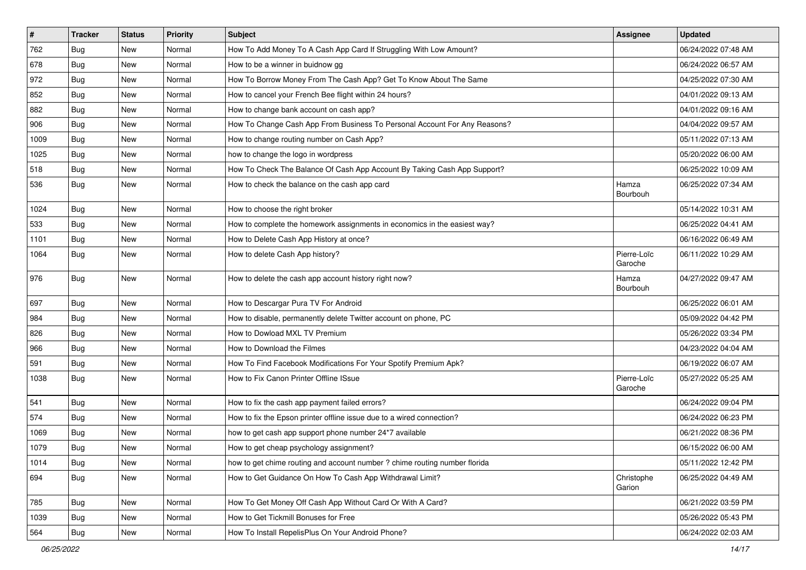| $\vert$ # | <b>Tracker</b> | <b>Status</b> | <b>Priority</b> | Subject                                                                    | <b>Assignee</b>        | <b>Updated</b>      |
|-----------|----------------|---------------|-----------------|----------------------------------------------------------------------------|------------------------|---------------------|
| 762       | <b>Bug</b>     | New           | Normal          | How To Add Money To A Cash App Card If Struggling With Low Amount?         |                        | 06/24/2022 07:48 AM |
| 678       | Bug            | <b>New</b>    | Normal          | How to be a winner in buidnow gg                                           |                        | 06/24/2022 06:57 AM |
| 972       | Bug            | <b>New</b>    | Normal          | How To Borrow Money From The Cash App? Get To Know About The Same          |                        | 04/25/2022 07:30 AM |
| 852       | <b>Bug</b>     | <b>New</b>    | Normal          | How to cancel your French Bee flight within 24 hours?                      |                        | 04/01/2022 09:13 AM |
| 882       | Bug            | <b>New</b>    | Normal          | How to change bank account on cash app?                                    |                        | 04/01/2022 09:16 AM |
| 906       | Bug            | <b>New</b>    | Normal          | How To Change Cash App From Business To Personal Account For Any Reasons?  |                        | 04/04/2022 09:57 AM |
| 1009      | Bug            | <b>New</b>    | Normal          | How to change routing number on Cash App?                                  |                        | 05/11/2022 07:13 AM |
| 1025      | Bug            | <b>New</b>    | Normal          | how to change the logo in wordpress                                        |                        | 05/20/2022 06:00 AM |
| 518       | <b>Bug</b>     | <b>New</b>    | Normal          | How To Check The Balance Of Cash App Account By Taking Cash App Support?   |                        | 06/25/2022 10:09 AM |
| 536       | Bug            | <b>New</b>    | Normal          | How to check the balance on the cash app card                              | Hamza<br>Bourbouh      | 06/25/2022 07:34 AM |
| 1024      | Bug            | New           | Normal          | How to choose the right broker                                             |                        | 05/14/2022 10:31 AM |
| 533       | Bug            | <b>New</b>    | Normal          | How to complete the homework assignments in economics in the easiest way?  |                        | 06/25/2022 04:41 AM |
| 1101      | Bug            | <b>New</b>    | Normal          | How to Delete Cash App History at once?                                    |                        | 06/16/2022 06:49 AM |
| 1064      | Bug            | <b>New</b>    | Normal          | How to delete Cash App history?                                            | Pierre-Loïc<br>Garoche | 06/11/2022 10:29 AM |
| 976       | Bug            | New           | Normal          | How to delete the cash app account history right now?                      | Hamza<br>Bourbouh      | 04/27/2022 09:47 AM |
| 697       | Bug            | New           | Normal          | How to Descargar Pura TV For Android                                       |                        | 06/25/2022 06:01 AM |
| 984       | <b>Bug</b>     | <b>New</b>    | Normal          | How to disable, permanently delete Twitter account on phone, PC            |                        | 05/09/2022 04:42 PM |
| 826       | Bug            | <b>New</b>    | Normal          | How to Dowload MXL TV Premium                                              |                        | 05/26/2022 03:34 PM |
| 966       | Bug            | <b>New</b>    | Normal          | How to Download the Filmes                                                 |                        | 04/23/2022 04:04 AM |
| 591       | Bug            | <b>New</b>    | Normal          | How To Find Facebook Modifications For Your Spotify Premium Apk?           |                        | 06/19/2022 06:07 AM |
| 1038      | Bug            | <b>New</b>    | Normal          | How to Fix Canon Printer Offline ISsue                                     | Pierre-Loïc<br>Garoche | 05/27/2022 05:25 AM |
| 541       | Bug            | <b>New</b>    | Normal          | How to fix the cash app payment failed errors?                             |                        | 06/24/2022 09:04 PM |
| 574       | Bug            | <b>New</b>    | Normal          | How to fix the Epson printer offline issue due to a wired connection?      |                        | 06/24/2022 06:23 PM |
| 1069      | Bug            | <b>New</b>    | Normal          | how to get cash app support phone number 24*7 available                    |                        | 06/21/2022 08:36 PM |
| 1079      | Bug            | <b>New</b>    | Normal          | How to get cheap psychology assignment?                                    |                        | 06/15/2022 06:00 AM |
| 1014      | Bug            | New           | Normal          | how to get chime routing and account number ? chime routing number florida |                        | 05/11/2022 12:42 PM |
| 694       | Bug            | New           | Normal          | How to Get Guidance On How To Cash App Withdrawal Limit?                   | Christophe<br>Garion   | 06/25/2022 04:49 AM |
| 785       | Bug            | New           | Normal          | How To Get Money Off Cash App Without Card Or With A Card?                 |                        | 06/21/2022 03:59 PM |
| 1039      | Bug            | New           | Normal          | How to Get Tickmill Bonuses for Free                                       |                        | 05/26/2022 05:43 PM |
| 564       | Bug            | New           | Normal          | How To Install RepelisPlus On Your Android Phone?                          |                        | 06/24/2022 02:03 AM |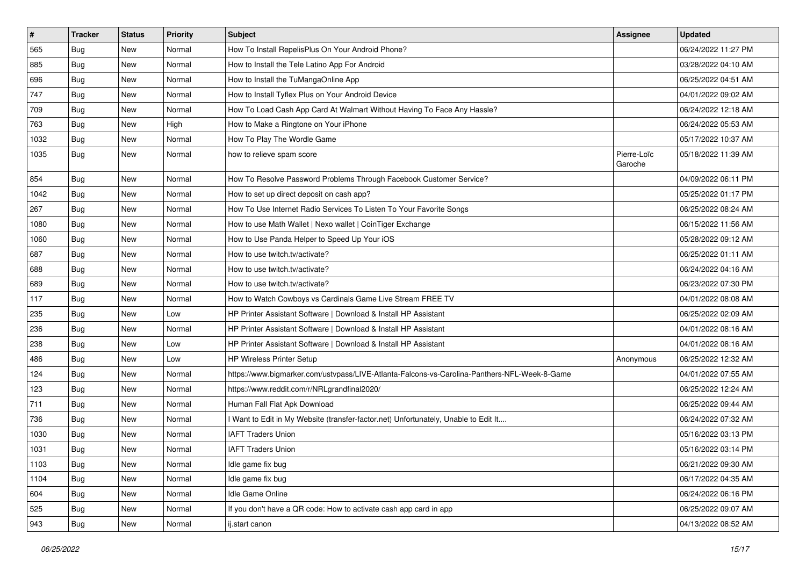| #    | <b>Tracker</b> | <b>Status</b> | <b>Priority</b> | Subject                                                                                      | <b>Assignee</b>        | <b>Updated</b>      |
|------|----------------|---------------|-----------------|----------------------------------------------------------------------------------------------|------------------------|---------------------|
| 565  | Bug            | New           | Normal          | How To Install RepelisPlus On Your Android Phone?                                            |                        | 06/24/2022 11:27 PM |
| 885  | Bug            | <b>New</b>    | Normal          | How to Install the Tele Latino App For Android                                               |                        | 03/28/2022 04:10 AM |
| 696  | Bug            | New           | Normal          | How to Install the TuMangaOnline App                                                         |                        | 06/25/2022 04:51 AM |
| 747  | <b>Bug</b>     | <b>New</b>    | Normal          | How to Install Tyflex Plus on Your Android Device                                            |                        | 04/01/2022 09:02 AM |
| 709  | Bug            | <b>New</b>    | Normal          | How To Load Cash App Card At Walmart Without Having To Face Any Hassle?                      |                        | 06/24/2022 12:18 AM |
| 763  | Bug            | <b>New</b>    | High            | How to Make a Ringtone on Your iPhone                                                        |                        | 06/24/2022 05:53 AM |
| 1032 | Bug            | <b>New</b>    | Normal          | How To Play The Wordle Game                                                                  |                        | 05/17/2022 10:37 AM |
| 1035 | Bug            | <b>New</b>    | Normal          | how to relieve spam score                                                                    | Pierre-Loïc<br>Garoche | 05/18/2022 11:39 AM |
| 854  | Bug            | <b>New</b>    | Normal          | How To Resolve Password Problems Through Facebook Customer Service?                          |                        | 04/09/2022 06:11 PM |
| 1042 | Bug            | <b>New</b>    | Normal          | How to set up direct deposit on cash app?                                                    |                        | 05/25/2022 01:17 PM |
| 267  | <b>Bug</b>     | <b>New</b>    | Normal          | How To Use Internet Radio Services To Listen To Your Favorite Songs                          |                        | 06/25/2022 08:24 AM |
| 1080 | Bug            | <b>New</b>    | Normal          | How to use Math Wallet   Nexo wallet   CoinTiger Exchange                                    |                        | 06/15/2022 11:56 AM |
| 1060 | Bug            | <b>New</b>    | Normal          | How to Use Panda Helper to Speed Up Your iOS                                                 |                        | 05/28/2022 09:12 AM |
| 687  | Bug            | <b>New</b>    | Normal          | How to use twitch.tv/activate?                                                               |                        | 06/25/2022 01:11 AM |
| 688  | Bug            | <b>New</b>    | Normal          | How to use twitch.tv/activate?                                                               |                        | 06/24/2022 04:16 AM |
| 689  | Bug            | <b>New</b>    | Normal          | How to use twitch.tv/activate?                                                               |                        | 06/23/2022 07:30 PM |
| 117  | Bug            | <b>New</b>    | Normal          | How to Watch Cowboys vs Cardinals Game Live Stream FREE TV                                   |                        | 04/01/2022 08:08 AM |
| 235  | Bug            | <b>New</b>    | Low             | HP Printer Assistant Software   Download & Install HP Assistant                              |                        | 06/25/2022 02:09 AM |
| 236  | <b>Bug</b>     | <b>New</b>    | Normal          | HP Printer Assistant Software   Download & Install HP Assistant                              |                        | 04/01/2022 08:16 AM |
| 238  | Bug            | <b>New</b>    | Low             | HP Printer Assistant Software   Download & Install HP Assistant                              |                        | 04/01/2022 08:16 AM |
| 486  | <b>Bug</b>     | <b>New</b>    | Low             | HP Wireless Printer Setup                                                                    | Anonymous              | 06/25/2022 12:32 AM |
| 124  | Bug            | <b>New</b>    | Normal          | https://www.bigmarker.com/ustvpass/LIVE-Atlanta-Falcons-vs-Carolina-Panthers-NFL-Week-8-Game |                        | 04/01/2022 07:55 AM |
| 123  | Bug            | <b>New</b>    | Normal          | https://www.reddit.com/r/NRLgrandfinal2020/                                                  |                        | 06/25/2022 12:24 AM |
| 711  | Bug            | <b>New</b>    | Normal          | Human Fall Flat Apk Download                                                                 |                        | 06/25/2022 09:44 AM |
| 736  | Bug            | <b>New</b>    | Normal          | I Want to Edit in My Website (transfer-factor.net) Unfortunately, Unable to Edit It          |                        | 06/24/2022 07:32 AM |
| 1030 | Bug            | <b>New</b>    | Normal          | <b>IAFT Traders Union</b>                                                                    |                        | 05/16/2022 03:13 PM |
| 1031 | Bug            | <b>New</b>    | Normal          | <b>IAFT Traders Union</b>                                                                    |                        | 05/16/2022 03:14 PM |
| 1103 | <b>Bug</b>     | New           | Normal          | Idle game fix bug                                                                            |                        | 06/21/2022 09:30 AM |
| 1104 | Bug            | New           | Normal          | Idle game fix bug                                                                            |                        | 06/17/2022 04:35 AM |
| 604  | <b>Bug</b>     | New           | Normal          | Idle Game Online                                                                             |                        | 06/24/2022 06:16 PM |
| 525  | Bug            | New           | Normal          | If you don't have a QR code: How to activate cash app card in app                            |                        | 06/25/2022 09:07 AM |
| 943  | <b>Bug</b>     | New           | Normal          | ij.start canon                                                                               |                        | 04/13/2022 08:52 AM |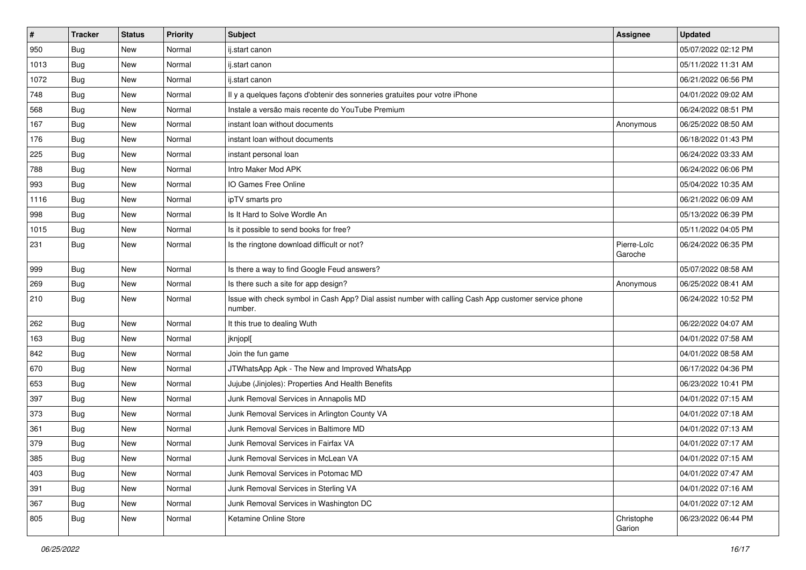| $\vert$ # | <b>Tracker</b> | <b>Status</b> | <b>Priority</b> | <b>Subject</b>                                                                                                  | <b>Assignee</b>        | <b>Updated</b>      |
|-----------|----------------|---------------|-----------------|-----------------------------------------------------------------------------------------------------------------|------------------------|---------------------|
| 950       | <b>Bug</b>     | New           | Normal          | ij.start canon                                                                                                  |                        | 05/07/2022 02:12 PM |
| 1013      | Bug            | <b>New</b>    | Normal          | ij.start canon                                                                                                  |                        | 05/11/2022 11:31 AM |
| 1072      | Bug            | New           | Normal          | ij.start canon                                                                                                  |                        | 06/21/2022 06:56 PM |
| 748       | <b>Bug</b>     | <b>New</b>    | Normal          | Il y a quelques façons d'obtenir des sonneries gratuites pour votre iPhone                                      |                        | 04/01/2022 09:02 AM |
| 568       | Bug            | <b>New</b>    | Normal          | Instale a versão mais recente do YouTube Premium                                                                |                        | 06/24/2022 08:51 PM |
| 167       | <b>Bug</b>     | New           | Normal          | instant loan without documents                                                                                  | Anonymous              | 06/25/2022 08:50 AM |
| 176       | Bug            | <b>New</b>    | Normal          | instant loan without documents                                                                                  |                        | 06/18/2022 01:43 PM |
| 225       | Bug            | New           | Normal          | instant personal loan                                                                                           |                        | 06/24/2022 03:33 AM |
| 788       | Bug            | <b>New</b>    | Normal          | Intro Maker Mod APK                                                                                             |                        | 06/24/2022 06:06 PM |
| 993       | Bug            | <b>New</b>    | Normal          | IO Games Free Online                                                                                            |                        | 05/04/2022 10:35 AM |
| 1116      | Bug            | New           | Normal          | ipTV smarts pro                                                                                                 |                        | 06/21/2022 06:09 AM |
| 998       | Bug            | New           | Normal          | Is It Hard to Solve Wordle An                                                                                   |                        | 05/13/2022 06:39 PM |
| 1015      | Bug            | <b>New</b>    | Normal          | Is it possible to send books for free?                                                                          |                        | 05/11/2022 04:05 PM |
| 231       | Bug            | New           | Normal          | Is the ringtone download difficult or not?                                                                      | Pierre-Loïc<br>Garoche | 06/24/2022 06:35 PM |
| 999       | Bug            | <b>New</b>    | Normal          | Is there a way to find Google Feud answers?                                                                     |                        | 05/07/2022 08:58 AM |
| 269       | Bug            | <b>New</b>    | Normal          | Is there such a site for app design?                                                                            | Anonymous              | 06/25/2022 08:41 AM |
| 210       | Bug            | <b>New</b>    | Normal          | Issue with check symbol in Cash App? Dial assist number with calling Cash App customer service phone<br>number. |                        | 06/24/2022 10:52 PM |
| 262       | Bug            | <b>New</b>    | Normal          | It this true to dealing Wuth                                                                                    |                        | 06/22/2022 04:07 AM |
| 163       | Bug            | <b>New</b>    | Normal          | jknjopl[                                                                                                        |                        | 04/01/2022 07:58 AM |
| 842       | Bug            | <b>New</b>    | Normal          | Join the fun game                                                                                               |                        | 04/01/2022 08:58 AM |
| 670       | Bug            | <b>New</b>    | Normal          | JTWhatsApp Apk - The New and Improved WhatsApp                                                                  |                        | 06/17/2022 04:36 PM |
| 653       | Bug            | New           | Normal          | Jujube (Jinjoles): Properties And Health Benefits                                                               |                        | 06/23/2022 10:41 PM |
| 397       | Bug            | <b>New</b>    | Normal          | Junk Removal Services in Annapolis MD                                                                           |                        | 04/01/2022 07:15 AM |
| 373       | Bug            | <b>New</b>    | Normal          | Junk Removal Services in Arlington County VA                                                                    |                        | 04/01/2022 07:18 AM |
| 361       | Bug            | New           | Normal          | Junk Removal Services in Baltimore MD                                                                           |                        | 04/01/2022 07:13 AM |
| 379       | Bug            | New           | Normal          | Junk Removal Services in Fairfax VA                                                                             |                        | 04/01/2022 07:17 AM |
| 385       | Bug            | New           | Normal          | Junk Removal Services in McLean VA                                                                              |                        | 04/01/2022 07:15 AM |
| 403       | Bug            | New           | Normal          | Junk Removal Services in Potomac MD                                                                             |                        | 04/01/2022 07:47 AM |
| 391       | Bug            | New           | Normal          | Junk Removal Services in Sterling VA                                                                            |                        | 04/01/2022 07:16 AM |
| 367       | <b>Bug</b>     | New           | Normal          | Junk Removal Services in Washington DC                                                                          |                        | 04/01/2022 07:12 AM |
| 805       | <b>Bug</b>     | New           | Normal          | Ketamine Online Store                                                                                           | Christophe<br>Garion   | 06/23/2022 06:44 PM |